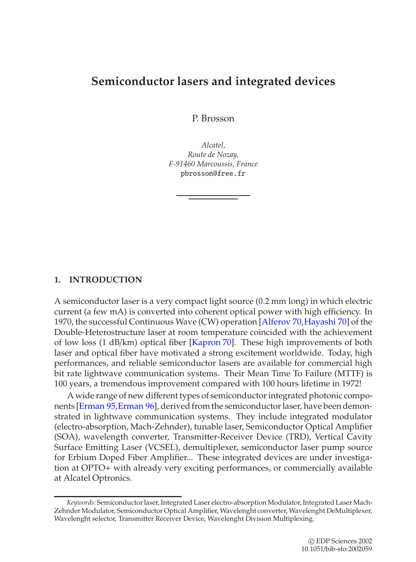# **Semiconductor lasers and integrated devices**

P. Brosson

*Alcatel, Route de Nozay, F-91460 Marcoussis, France* pbrosson@free.fr

## **1. INTRODUCTION**

A semiconductor laser is a very compact light source (0.2 mm long) in which electric current (a few mA) is converted into coherent optical power with high efficiency. In 1970, the successful Continuous Wave (CW) operation [\[Alferov 70](#page-48-0)[,Hayashi 70\]](#page-50-0) of the Double-Heterostructure laser at room temperature coincided with the achievement of low loss (1 dB/km) optical fiber [\[Kapron 70\]](#page-51-0). These high improvements of both laser and optical fiber have motivated a strong excitement worldwide. Today, high performances, and reliable semiconductor lasers are available for commercial high bit rate lightwave communication systems. Their Mean Time To Failure (MTTF) is 100 years, a tremendous improvement compared with 100 hours lifetime in 1972!

A wide range of new different types of semiconductor integrated photonic compo-nents [\[Erman 95,](#page-50-1) [Erman 96\]](#page-50-2), derived from the semiconductor laser, have been demonstrated in lightwave communication systems. They include integrated modulator (electro-absorption, Mach-Zehnder), tunable laser, Semiconductor Optical Amplifier (SOA), wavelength converter, Transmitter-Receiver Device (TRD), Vertical Cavity Surface Emitting Laser (VCSEL), demultiplexer, semiconductor laser pump source for Erbium Doped Fiber Amplifier... These integrated devices are under investigation at OPTO+ with already very exciting performances, or commercially available at Alcatel Optronics.

*Keywords:* Semiconductor laser, Integrated Laser electro-absorption Modulator, Integrated Laser Mach-Zehnder Modulator, Semiconductor Optical Amplifier, Wavelenght converter, Wavelenght DeMultiplexer, Wavelenght selector, Transmitter Receiver Device, Wavelenght Division Multiplexing.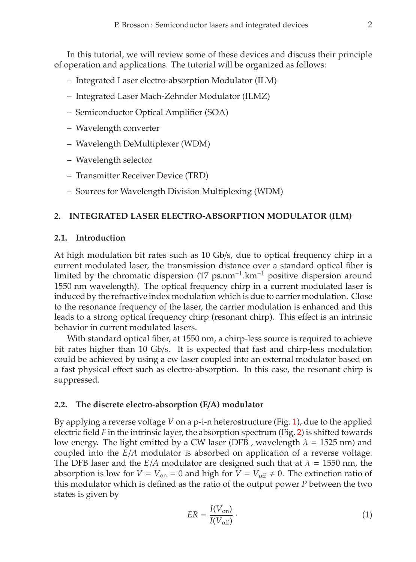In this tutorial, we will review some of these devices and discuss their principle of operation and applications. The tutorial will be organized as follows:

- Integrated Laser electro-absorption Modulator (ILM)
- Integrated Laser Mach-Zehnder Modulator (ILMZ)
- Semiconductor Optical Amplifier (SOA)
- Wavelength converter
- Wavelength DeMultiplexer (WDM)
- Wavelength selector
- Transmitter Receiver Device (TRD)
- Sources for Wavelength Division Multiplexing (WDM)

## **2. INTEGRATED LASER ELECTRO-ABSORPTION MODULATOR (ILM)**

#### **2.1. Introduction**

At high modulation bit rates such as 10 Gb/s, due to optical frequency chirp in a current modulated laser, the transmission distance over a standard optical fiber is limited by the chromatic dispersion (17 ps.nm−1.km−<sup>1</sup> positive dispersion around 1550 nm wavelength). The optical frequency chirp in a current modulated laser is induced by the refractive index modulation which is due to carrier modulation. Close to the resonance frequency of the laser, the carrier modulation is enhanced and this leads to a strong optical frequency chirp (resonant chirp). This effect is an intrinsic behavior in current modulated lasers.

With standard optical fiber, at 1550 nm, a chirp-less source is required to achieve bit rates higher than 10 Gb/s. It is expected that fast and chirp-less modulation could be achieved by using a cw laser coupled into an external modulator based on a fast physical effect such as electro-absorption. In this case, the resonant chirp is suppressed.

#### **2.2. The discrete electro-absorption (E**/**A) modulator**

By applying a reverse voltage *V* on a p-i-n heterostructure (Fig. [1\)](#page-2-0), due to the applied electric field *F* in the intrinsic layer, the absorption spectrum (Fig. [2\)](#page-3-0) is shifted towards low energy. The light emitted by a CW laser (DFB, wavelength  $\lambda = 1525$  nm) and coupled into the *E*/*A* modulator is absorbed on application of a reverse voltage. The DFB laser and the  $E/A$  modulator are designed such that at  $\lambda = 1550$  nm, the absorption is low for  $V = V_{on} = 0$  and high for  $V = V_{off} \neq 0$ . The extinction ratio of this modulator which is defined as the ratio of the output power *P* between the two states is given by

$$
ER = \frac{I(V_{\text{on}})}{I(V_{\text{off}})}\,. \tag{1}
$$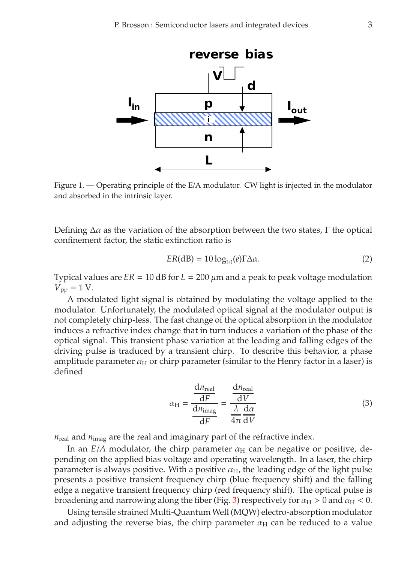

<span id="page-2-0"></span>Figure 1. — Operating principle of the E/A modulator. CW light is injected in the modulator and absorbed in the intrinsic layer.

Defining  $\Delta \alpha$  as the variation of the absorption between the two states,  $\Gamma$  the optical confinement factor, the static extinction ratio is

$$
ER(dB) = 10 \log_{10}(e)\Gamma \Delta \alpha.
$$
 (2)

Typical values are  $ER = 10$  dB for  $L = 200 \mu m$  and a peak to peak voltage modulation  $V_{\text{pp}} = 1 \text{ V}.$ 

A modulated light signal is obtained by modulating the voltage applied to the modulator. Unfortunately, the modulated optical signal at the modulator output is not completely chirp-less. The fast change of the optical absorption in the modulator induces a refractive index change that in turn induces a variation of the phase of the optical signal. This transient phase variation at the leading and falling edges of the driving pulse is traduced by a transient chirp. To describe this behavior, a phase amplitude parameter  $\alpha_H$  or chirp parameter (similar to the Henry factor in a laser) is defined

$$
\alpha_{\rm H} = \frac{\frac{dn_{\rm real}}{dF}}{\frac{dn_{\rm imag}}{dF}} = \frac{\frac{dn_{\rm real}}{dV}}{\frac{\lambda}{4\pi}\frac{d\alpha}{dV}}
$$
(3)

 $n_{\text{real}}$  and  $n_{\text{imag}}$  are the real and imaginary part of the refractive index.

In an  $E/A$  modulator, the chirp parameter  $\alpha_H$  can be negative or positive, depending on the applied bias voltage and operating wavelength. In a laser, the chirp parameter is always positive. With a positive  $\alpha_{\rm H}$ , the leading edge of the light pulse presents a positive transient frequency chirp (blue frequency shift) and the falling edge a negative transient frequency chirp (red frequency shift). The optical pulse is broadening and narrowing along the fiber (Fig. [3\)](#page-4-0) respectively for  $\alpha_H > 0$  and  $\alpha_H < 0$ .

Using tensile strained Multi-QuantumWell (MQW) electro-absorption modulator and adjusting the reverse bias, the chirp parameter  $\alpha_H$  can be reduced to a value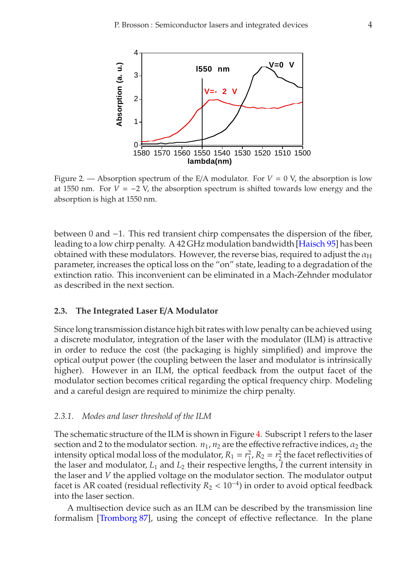

<span id="page-3-0"></span>Figure 2. — Absorption spectrum of the  $E/A$  modulator. For  $V = 0$  V, the absorption is low at 1550 nm. For  $V = -2$  V, the absorption spectrum is shifted towards low energy and the absorption is high at 1550 nm.

between 0 and −1. This red transient chirp compensates the dispersion of the fiber, leading to a low chirp penalty. A 42 GHz modulation bandwidth [\[Haisch 95\]](#page-50-3) has been obtained with these modulators. However, the reverse bias, required to adjust the  $\alpha_H$ parameter, increases the optical loss on the "on" state, leading to a degradation of the extinction ratio. This inconvenient can be eliminated in a Mach-Zehnder modulator as described in the next section.

#### **2.3. The Integrated Laser E**/**A Modulator**

Since long transmission distance high bit rates with low penalty can be achieved using a discrete modulator, integration of the laser with the modulator (ILM) is attractive in order to reduce the cost (the packaging is highly simplified) and improve the optical output power (the coupling between the laser and modulator is intrinsically higher). However in an ILM, the optical feedback from the output facet of the modulator section becomes critical regarding the optical frequency chirp. Modeling and a careful design are required to minimize the chirp penalty.

#### *2.3.1. Modes and laser threshold of the ILM*

The schematic structure of the ILM is shown in Figure [4.](#page-5-0) Subscript 1 refers to the laser section and 2 to the modulator section.  $n_1$ ,  $n_2$  are the effective refractive indices,  $\alpha_2$  the intensity optical modal loss of the modulator,  $R_1 = r_1^2$ ,  $R_2 = r_2^2$  the facet reflectivities of the laser and modulator,  $L_1$  and  $L_2$  their respective lengths, *I* the current intensity in the laser and *V* the applied voltage on the modulator section. The modulator output facet is AR coated (residual reflectivity  $R_2 < 10^{-4}$ ) in order to avoid optical feedback into the laser section.

A multisection device such as an ILM can be described by the transmission line formalism [\[Tromborg 87\]](#page-52-0), using the concept of effective reflectance. In the plane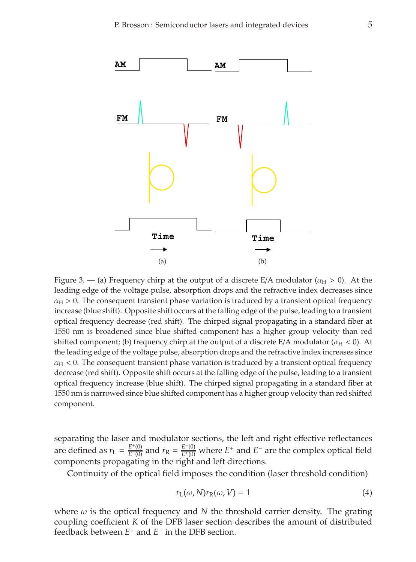

<span id="page-4-0"></span>Figure 3. — (a) Frequency chirp at the output of a discrete E/A modulator ( $\alpha_H > 0$ ). At the leading edge of the voltage pulse, absorption drops and the refractive index decreases since  $\alpha_H > 0$ . The consequent transient phase variation is traduced by a transient optical frequency increase (blue shift). Opposite shift occurs at the falling edge of the pulse, leading to a transient optical frequency decrease (red shift). The chirped signal propagating in a standard fiber at 1550 nm is broadened since blue shifted component has a higher group velocity than red shifted component; (b) frequency chirp at the output of a discrete E/A modulator ( $\alpha_H < 0$ ). At the leading edge of the voltage pulse, absorption drops and the refractive index increases since  $\alpha_H$  < 0. The consequent transient phase variation is traduced by a transient optical frequency decrease (red shift). Opposite shift occurs at the falling edge of the pulse, leading to a transient optical frequency increase (blue shift). The chirped signal propagating in a standard fiber at 1550 nm is narrowed since blue shifted component has a higher group velocity than red shifted component.

separating the laser and modulator sections, the left and right effective reflectances are defined as  $r_L = \frac{E^+(0)}{E^-(0)}$  and  $r_R = \frac{E^-(0)}{E^+(0)}$  where  $E^+$  and  $E^-$  are the complex optical field components propagating in the right and left directions.

Continuity of the optical field imposes the condition (laser threshold condition)

<span id="page-4-1"></span>
$$
r_{\mathcal{L}}(\omega, N)r_{\mathcal{R}}(\omega, V) = 1\tag{4}
$$

where  $\omega$  is the optical frequency and N the threshold carrier density. The grating coupling coefficient *K* of the DFB laser section describes the amount of distributed feedback between *E*<sup>+</sup> and *E*<sup>−</sup> in the DFB section.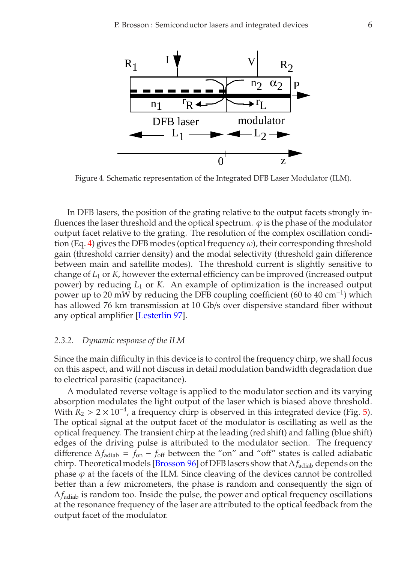

Figure 4. Schematic representation of the Integrated DFB Laser Modulator (ILM).

<span id="page-5-0"></span>In DFB lasers, the position of the grating relative to the output facets strongly influences the laser threshold and the optical spectrum.  $\varphi$  is the phase of the modulator output facet relative to the grating. The resolution of the complex oscillation condi-tion (Eq. [4\)](#page-4-1) gives the DFB modes (optical frequency  $\omega$ ), their corresponding threshold gain (threshold carrier density) and the modal selectivity (threshold gain difference between main and satellite modes). The threshold current is slightly sensitive to change of *L*<sup>1</sup> or *K*, however the external efficiency can be improved (increased output power) by reducing *L*<sup>1</sup> or *K*. An example of optimization is the increased output power up to 20 mW by reducing the DFB coupling coefficient (60 to 40 cm<sup>-1</sup>) which has allowed 76 km transmission at 10 Gb/s over dispersive standard fiber without any optical amplifier [\[Lesterlin 97\]](#page-51-1).

#### *2.3.2. Dynamic response of the ILM*

Since the main difficulty in this device is to control the frequency chirp, we shall focus on this aspect, and will not discuss in detail modulation bandwidth degradation due to electrical parasitic (capacitance).

A modulated reverse voltage is applied to the modulator section and its varying absorption modulates the light output of the laser which is biased above threshold. With  $R_2 > 2 \times 10^{-4}$ , a frequency chirp is observed in this integrated device (Fig. [5\)](#page-6-0). The optical signal at the output facet of the modulator is oscillating as well as the optical frequency. The transient chirp at the leading (red shift) and falling (blue shift) edges of the driving pulse is attributed to the modulator section. The frequency difference  $\Delta f_{\text{adiab}} = f_{\text{on}} - f_{\text{off}}$  between the "on" and "off" states is called adiabatic chirp. Theoretical models [\[Brosson 96\]](#page-48-1) of DFB lasers show that∆*f*adiab depends on the phase  $\varphi$  at the facets of the ILM. Since cleaving of the devices cannot be controlled better than a few micrometers, the phase is random and consequently the sign of ∆*f*adiab is random too. Inside the pulse, the power and optical frequency oscillations at the resonance frequency of the laser are attributed to the optical feedback from the output facet of the modulator.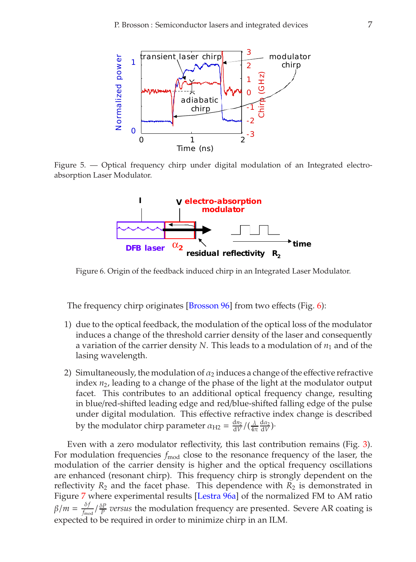

<span id="page-6-0"></span>Figure 5. — Optical frequency chirp under digital modulation of an Integrated electroabsorption Laser Modulator.



<span id="page-6-1"></span>Figure 6. Origin of the feedback induced chirp in an Integrated Laser Modulator.

The frequency chirp originates [\[Brosson 96\]](#page-48-1) from two effects (Fig. [6\)](#page-6-1):

- 1) due to the optical feedback, the modulation of the optical loss of the modulator induces a change of the threshold carrier density of the laser and consequently a variation of the carrier density  $N$ . This leads to a modulation of  $n_1$  and of the lasing wavelength.
- 2) Simultaneously, the modulation of  $\alpha_2$  induces a change of the effective refractive index *n*2, leading to a change of the phase of the light at the modulator output facet. This contributes to an additional optical frequency change, resulting in blue/red-shifted leading edge and red/blue-shifted falling edge of the pulse under digital modulation. This effective refractive index change is described by the modulator chirp parameter  $\alpha_{\text{H2}} = \frac{dn_2}{dV} / (\frac{\lambda}{4\pi} \frac{da_2}{dV})$

Even with a zero modulator reflectivity, this last contribution remains (Fig. [3\)](#page-4-0). For modulation frequencies  $f_{\text{mod}}$  close to the resonance frequency of the laser, the modulation of the carrier density is higher and the optical frequency oscillations are enhanced (resonant chirp). This frequency chirp is strongly dependent on the reflectivity  $R_2$  and the facet phase. This dependence with  $R_2$  is demonstrated in Figure [7](#page-7-0) where experimental results [\[Lestra 96a\]](#page-51-2) of the normalized FM to AM ratio  $\beta/m = \frac{\delta f}{f_{\text{mod}}}$  *o<sub>F</sub> p ersus* the modulation frequency are presented. Severe AR coating is expected to be required in order to minimize chirp in an ILM.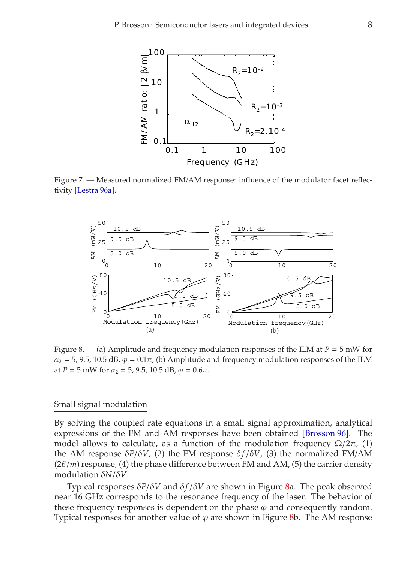

<span id="page-7-0"></span>Figure 7. — Measured normalized FM/AM response: influence of the modulator facet reflectivity [\[Lestra 96a\]](#page-51-2).



<span id="page-7-1"></span>Figure 8. — (a) Amplitude and frequency modulation responses of the ILM at  $P = 5$  mW for  $\alpha_2 = 5$ , 9.5, 10.5 dB,  $\varphi = 0.1\pi$ ; (b) Amplitude and frequency modulation responses of the ILM at *P* = 5 mW for  $\alpha_2$  = 5, 9.5, 10.5 dB,  $\varphi$  = 0.6 $\pi$ .

#### Small signal modulation

By solving the coupled rate equations in a small signal approximation, analytical expressions of the FM and AM responses have been obtained [\[Brosson 96\]](#page-48-1). The model allows to calculate, as a function of the modulation frequency  $\Omega/2\pi$ , (1) the AM response  $\delta P/\delta V$ , (2) the FM response  $\delta f/\delta V$ , (3) the normalized FM/AM  $(2\beta/m)$  response, (4) the phase difference between FM and AM, (5) the carrier density modulation δ*N*/δ*V*.

Typical responses  $\delta P/\delta V$  and  $\delta f/\delta V$  are shown in Figure [8a](#page-7-1). The peak observed near 16 GHz corresponds to the resonance frequency of the laser. The behavior of these frequency responses is dependent on the phase  $\varphi$  and consequently random. Typical responses for another value of  $\varphi$  are shown in Figure [8b](#page-7-1). The AM response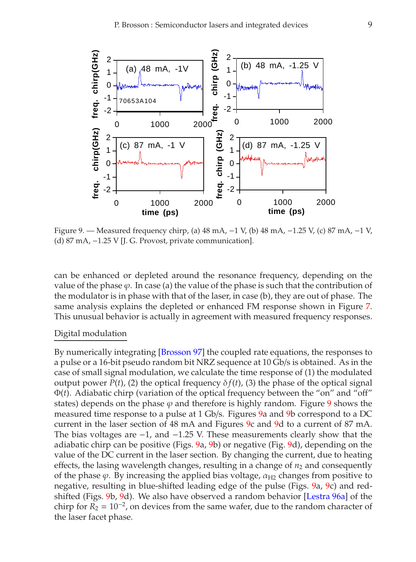

<span id="page-8-0"></span>Figure 9. — Measured frequency chirp, (a) 48 mA, −1 V, (b) 48 mA, −1.25 V, (c) 87 mA, −1 V, (d) 87 mA, −1.25 V [J. G. Provost, private communication].

can be enhanced or depleted around the resonance frequency, depending on the value of the phase  $\varphi$ . In case (a) the value of the phase is such that the contribution of the modulator is in phase with that of the laser, in case (b), they are out of phase. The same analysis explains the depleted or enhanced FM response shown in Figure [7.](#page-7-0) This unusual behavior is actually in agreement with measured frequency responses.

### Digital modulation

By numerically integrating [\[Brosson 97\]](#page-48-2) the coupled rate equations, the responses to a pulse or a 16-bit pseudo random bit NRZ sequence at 10 Gb/s is obtained. As in the case of small signal modulation, we calculate the time response of (1) the modulated output power  $P(t)$ , (2) the optical frequency  $\delta f(t)$ , (3) the phase of the optical signal Φ(*t*). Adiabatic chirp (variation of the optical frequency between the "on" and "off" states) depends on the phase  $\varphi$  and therefore is highly random. Figure [9](#page-8-0) shows the measured time response to a pulse at 1 Gb/s. Figures [9a](#page-8-0) and [9b](#page-8-0) correspond to a DC current in the laser section of 48 mA and Figures [9c](#page-8-0) and [9d](#page-8-0) to a current of 87 mA. The bias voltages are −1, and −1.25 V. These measurements clearly show that the adiabatic chirp can be positive (Figs. [9a](#page-8-0), [9b](#page-8-0)) or negative (Fig. [9d](#page-8-0)), depending on the value of the DC current in the laser section. By changing the current, due to heating effects, the lasing wavelength changes, resulting in a change of  $n_2$  and consequently of the phase  $\varphi$ . By increasing the applied bias voltage,  $\alpha_{H2}$  changes from positive to negative, resulting in blue-shifted leading edge of the pulse (Figs. [9a](#page-8-0), [9c](#page-8-0)) and redshifted (Figs. [9b](#page-8-0), [9d](#page-8-0)). We also have observed a random behavior [\[Lestra 96a\]](#page-51-2) of the chirp for  $R_2 = 10^{-2}$ , on devices from the same wafer, due to the random character of the laser facet phase.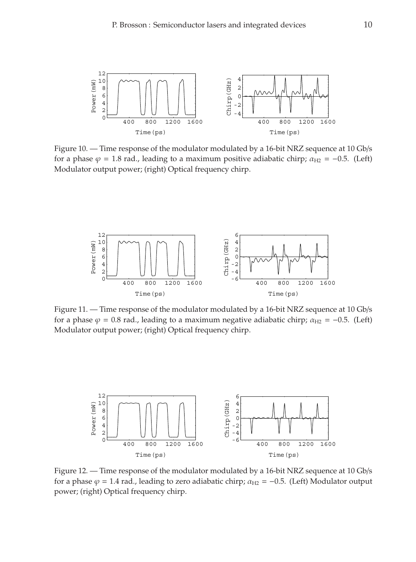

<span id="page-9-0"></span>Figure 10. — Time response of the modulator modulated by a 16-bit NRZ sequence at 10 Gb/s for a phase  $\varphi = 1.8$  rad., leading to a maximum positive adiabatic chirp;  $\alpha_{H2} = -0.5$ . (Left) Modulator output power; (right) Optical frequency chirp.



Figure 11. — Time response of the modulator modulated by a 16-bit NRZ sequence at 10 Gb/s for a phase  $\varphi = 0.8$  rad., leading to a maximum negative adiabatic chirp;  $\alpha_{H2} = -0.5$ . (Left) Modulator output power; (right) Optical frequency chirp.



<span id="page-9-1"></span>Figure 12. — Time response of the modulator modulated by a 16-bit NRZ sequence at 10 Gb/s for a phase  $\varphi = 1.4$  rad., leading to zero adiabatic chirp;  $\alpha_{H2} = -0.5$ . (Left) Modulator output power; (right) Optical frequency chirp.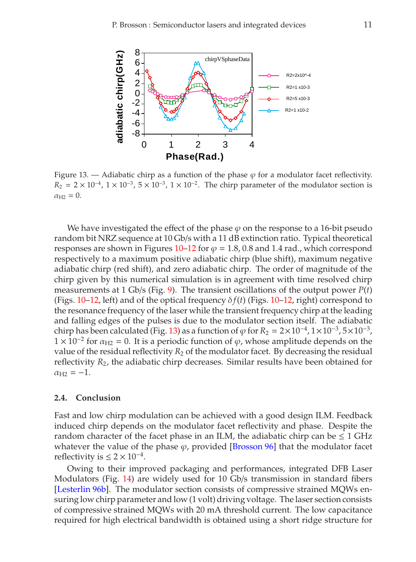

<span id="page-10-0"></span>Figure 13. — Adiabatic chirp as a function of the phase  $\varphi$  for a modulator facet reflectivity.  $R_2 = 2 \times 10^{-4}$ ,  $1 \times 10^{-3}$ ,  $5 \times 10^{-3}$ ,  $1 \times 10^{-2}$ . The chirp parameter of the modulator section is  $\alpha_{H2} = 0.$ 

We have investigated the effect of the phase  $\varphi$  on the response to a 16-bit pseudo random bit NRZ sequence at 10 Gb/s with a 11 dB extinction ratio. Typical theoretical responses are shown in Figures  $10-12$  $10-12$  for  $\varphi = 1.8$ , 0.8 and 1.4 rad., which correspond respectively to a maximum positive adiabatic chirp (blue shift), maximum negative adiabatic chirp (red shift), and zero adiabatic chirp. The order of magnitude of the chirp given by this numerical simulation is in agreement with time resolved chirp measurements at 1 Gb/s (Fig. [9\)](#page-8-0). The transient oscillations of the output power  $P(t)$ (Figs.  $10-12$  $10-12$ , left) and of the optical frequency  $\delta f(t)$  (Figs.  $10-12$ , right) correspond to the resonance frequency of the laser while the transient frequency chirp at the leading and falling edges of the pulses is due to the modulator section itself. The adiabatic chirp has been calculated (Fig. [13\)](#page-10-0) as a function of  $\varphi$  for  $R_2 = 2 \times 10^{-4}$ ,  $1 \times 10^{-3}$ ,  $5 \times 10^{-3}$ ,  $1 \times 10^{-2}$  for  $\alpha_{\text{H2}} = 0$ . It is a periodic function of  $\varphi$ , whose amplitude depends on the value of the residual reflectivity  $R_2$  of the modulator facet. By decreasing the residual reflectivity *R*2, the adiabatic chirp decreases. Similar results have been obtained for  $\alpha_{\text{H2}} = -1.$ 

### **2.4. Conclusion**

Fast and low chirp modulation can be achieved with a good design ILM. Feedback induced chirp depends on the modulator facet reflectivity and phase. Despite the random character of the facet phase in an ILM, the adiabatic chirp can be  $\leq 1$  GHz whatever the value of the phase  $\varphi$ , provided [\[Brosson 96\]](#page-48-1) that the modulator facet reflectivity is  $\leq$  2  $\times$  10<sup>-4</sup>.

Owing to their improved packaging and performances, integrated DFB Laser Modulators (Fig. [14\)](#page-11-0) are widely used for 10 Gb/s transmission in standard fibers [\[Lesterlin 96b\]](#page-51-3). The modulator section consists of compressive strained MQWs ensuring low chirp parameter and low (1 volt) driving voltage. The laser section consists of compressive strained MQWs with 20 mA threshold current. The low capacitance required for high electrical bandwidth is obtained using a short ridge structure for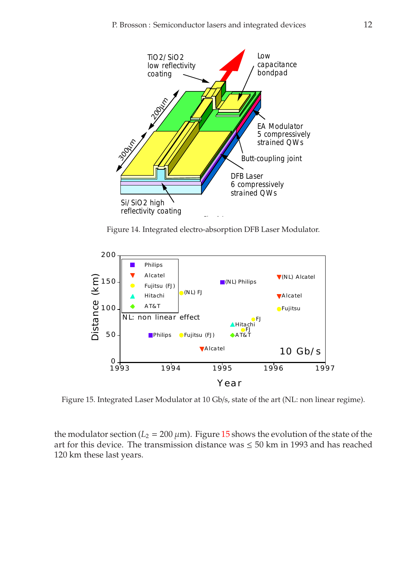

Figure 14. Integrated electro-absorption DFB Laser Modulator.

<span id="page-11-0"></span>

<span id="page-11-1"></span>Figure 15. Integrated Laser Modulator at 10 Gb/s, state of the art (NL: non linear regime).

the modulator section ( $L_2 = 200 \mu$ m). Figure [15](#page-11-1) shows the evolution of the state of the art for this device. The transmission distance was  $\leq$  50 km in 1993 and has reached 120 km these last years.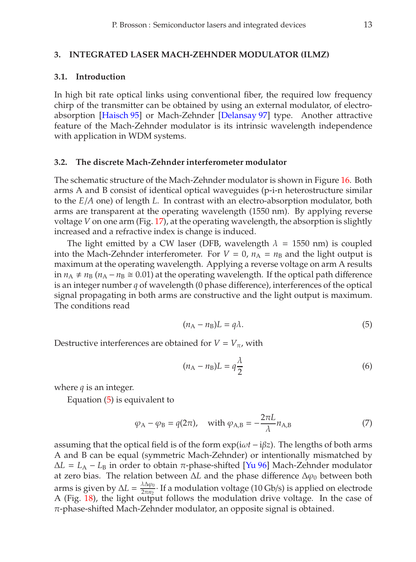#### **3. INTEGRATED LASER MACH-ZEHNDER MODULATOR (ILMZ)**

#### **3.1. Introduction**

In high bit rate optical links using conventional fiber, the required low frequency chirp of the transmitter can be obtained by using an external modulator, of electroabsorption [\[Haisch 95\]](#page-50-3) or Mach-Zehnder [\[Delansay 97\]](#page-49-0) type. Another attractive feature of the Mach-Zehnder modulator is its intrinsic wavelength independence with application in WDM systems.

### **3.2. The discrete Mach-Zehnder interferometer modulator**

The schematic structure of the Mach-Zehnder modulator is shown in Figure [16.](#page-13-0) Both arms A and B consist of identical optical waveguides (p-i-n heterostructure similar to the *E*/*A* one) of length *L*. In contrast with an electro-absorption modulator, both arms are transparent at the operating wavelength (1550 nm). By applying reverse voltage *V* on one arm (Fig. [17\)](#page-13-1), at the operating wavelength, the absorption is slightly increased and a refractive index is change is induced.

The light emitted by a CW laser (DFB, wavelength  $\lambda = 1550$  nm) is coupled into the Mach-Zehnder interferometer. For  $V = 0$ ,  $n_A = n_B$  and the light output is maximum at the operating wavelength. Applying a reverse voltage on arm A results in  $n_A ≠ n_B$  ( $n_A − n_B ≅ 0.01$ ) at the operating wavelength. If the optical path difference is an integer number *q* of wavelength (0 phase difference), interferences of the optical signal propagating in both arms are constructive and the light output is maximum. The conditions read

<span id="page-12-0"></span>
$$
(n_A - n_B)L = q\lambda.
$$
 (5)

Destructive interferences are obtained for  $V = V_{\pi}$ , with

$$
(n_{A} - n_{B})L = q \frac{\lambda}{2}
$$
 (6)

where *q* is an integer.

Equation [\(5\)](#page-12-0) is equivalent to

$$
\varphi_{A} - \varphi_{B} = q(2\pi), \quad \text{with } \varphi_{A,B} = -\frac{2\pi L}{\lambda} n_{A,B}
$$
 (7)

assuming that the optical field is of the form exp(iω*t* − iβ*z*). The lengths of both arms A and B can be equal (symmetric Mach-Zehnder) or intentionally mismatched by  $\Delta L = L_A - L_B$  in order to obtain  $\pi$ -phase-shifted [\[Yu 96\]](#page-52-1) Mach-Zehnder modulator at zero bias. The relation between ∆*L* and the phase difference ∆ϕ<sup>0</sup> between both arms is given by  $\Delta L = \frac{\lambda \Delta \varphi_0}{2\pi n_2}$  If a modulation voltage (10 Gb/s) is applied on electrode A (Fig. [18\)](#page-13-2), the light output follows the modulation drive voltage. In the case of  $\pi$ -phase-shifted Mach-Zehnder modulator, an opposite signal is obtained.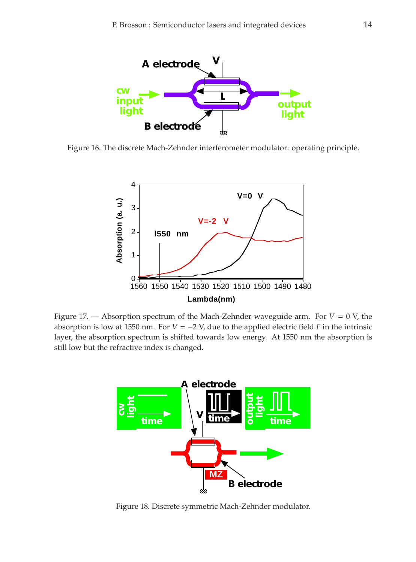

<span id="page-13-0"></span>Figure 16. The discrete Mach-Zehnder interferometer modulator: operating principle.



<span id="page-13-1"></span>Figure 17. — Absorption spectrum of the Mach-Zehnder waveguide arm. For  $V = 0$  V, the absorption is low at 1550 nm. For  $V = -2$  V, due to the applied electric field *F* in the intrinsic layer, the absorption spectrum is shifted towards low energy. At 1550 nm the absorption is still low but the refractive index is changed.



<span id="page-13-2"></span>Figure 18. Discrete symmetric Mach-Zehnder modulator.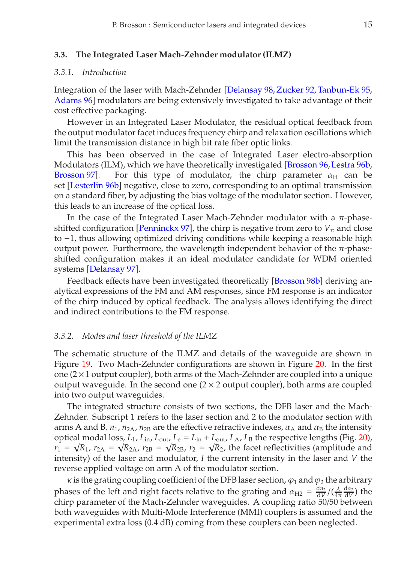#### **3.3. The Integrated Laser Mach-Zehnder modulator (ILMZ)**

### *3.3.1. Introduction*

Integration of the laser with Mach-Zehnder [\[Delansay 98,](#page-49-1)[Zucker 92,](#page-52-2) [Tanbun-Ek 95,](#page-52-3) [Adams 96\]](#page-48-3) modulators are being extensively investigated to take advantage of their cost effective packaging.

However in an Integrated Laser Modulator, the residual optical feedback from the output modulator facet induces frequency chirp and relaxation oscillations which limit the transmission distance in high bit rate fiber optic links.

This has been observed in the case of Integrated Laser electro-absorption Modulators (ILM), which we have theoretically investigated [\[Brosson 96,](#page-48-1)[Lestra 96b,](#page-51-4) [Brosson 97\]](#page-48-2). For this type of modulator, the chirp parameter  $\alpha_H$  can be set [\[Lesterlin 96b\]](#page-51-3) negative, close to zero, corresponding to an optimal transmission on a standard fiber, by adjusting the bias voltage of the modulator section. However, this leads to an increase of the optical loss.

In the case of the Integrated Laser Mach-Zehnder modulator with a  $π$ -phase-shifted configuration [\[Penninckx 97\]](#page-52-4), the chirp is negative from zero to  $V_{\pi}$  and close to −1, thus allowing optimized driving conditions while keeping a reasonable high output power. Furthermore, the wavelength independent behavior of the π-phaseshifted configuration makes it an ideal modulator candidate for WDM oriented systems [\[Delansay 97\]](#page-49-0).

Feedback effects have been investigated theoretically [\[Brosson 98b\]](#page-48-4) deriving analytical expressions of the FM and AM responses, since FM response is an indicator of the chirp induced by optical feedback. The analysis allows identifying the direct and indirect contributions to the FM response.

#### *3.3.2. Modes and laser threshold of the ILMZ*

The schematic structure of the ILMZ and details of the waveguide are shown in Figure [19.](#page-15-0) Two Mach-Zehnder configurations are shown in Figure [20.](#page-15-1) In the first one  $(2\times1)$  output coupler), both arms of the Mach-Zehnder are coupled into a unique output waveguide. In the second one  $(2 \times 2$  output coupler), both arms are coupled into two output waveguides.

The integrated structure consists of two sections, the DFB laser and the Mach-Zehnder. Subscript 1 refers to the laser section and 2 to the modulator section with arms A and B.  $n_1$ ,  $n_{2A}$ ,  $n_{2B}$  are the effective refractive indexes,  $\alpha_A$  and  $\alpha_B$  the intensity optical modal loss,  $L_1$ ,  $L_{\text{in}}$ ,  $L_{\text{out}}$ ,  $L_e = L_{\text{in}} + L_{\text{out}}$ ,  $L_A$ ,  $L_B$  the respective lengths (Fig. [20\)](#page-15-1),  $r_1 = \sqrt{R_1}$ ,  $r_{2A} = \sqrt{R_{2A}}$ ,  $r_{2B} = \sqrt{R_{2B}}$ ,  $r_2 = \sqrt{R_2}$ , the facet reflectivities (amplitude and intensity) of the laser and modulator, *I* the current intensity in the laser and *V* the reverse applied voltage on arm A of the modulator section.

 $\kappa$  is the grating coupling coefficient of the DFB laser section,  $\varphi_1$  and  $\varphi_2$  the arbitrary phases of the left and right facets relative to the grating and  $\alpha_{H2} = \frac{dn_2}{dV} / (\frac{\lambda}{4\pi} \frac{d\alpha_2}{dV})$  the chirp parameter of the Mach-Zehnder waveguides. A coupling ratio 50/50 between both waveguides with Multi-Mode Interference (MMI) couplers is assumed and the experimental extra loss (0.4 dB) coming from these couplers can been neglected.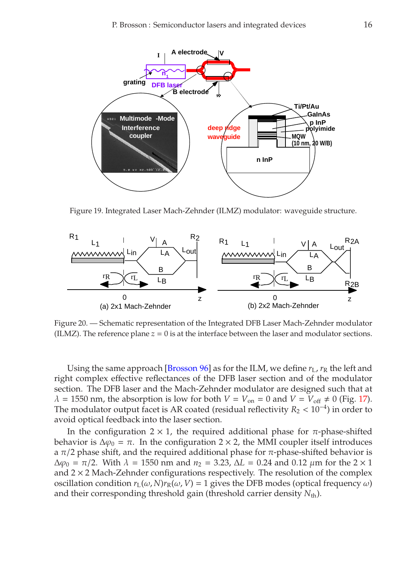

Figure 19. Integrated Laser Mach-Zehnder (ILMZ) modulator: waveguide structure.

<span id="page-15-0"></span>

<span id="page-15-1"></span>Figure 20. — Schematic representation of the Integrated DFB Laser Mach-Zehnder modulator (ILMZ). The reference plane  $z = 0$  is at the interface between the laser and modulator sections.

Using the same approach [*Brosson 96*] as for the ILM, we define  $r_L$ ,  $r_R$  the left and right complex effective reflectances of the DFB laser section and of the modulator section. The DFB laser and the Mach-Zehnder modulator are designed such that at  $\lambda = 1550$  nm, the absorption is low for both  $V = V_{on} = 0$  and  $V = V_{off} \neq 0$  (Fig. [17\)](#page-13-1). The modulator output facet is AR coated (residual reflectivity  $R_2 < 10^{-4}$ ) in order to avoid optical feedback into the laser section.

In the configuration  $2 \times 1$ , the required additional phase for  $\pi$ -phase-shifted behavior is  $\Delta \varphi_0 = \pi$ . In the configuration 2 × 2, the MMI coupler itself introduces a  $\pi/2$  phase shift, and the required additional phase for  $\pi$ -phase-shifted behavior is  $\Delta\varphi_0 = \pi/2$ . With  $\lambda = 1550$  nm and  $n_2 = 3.23$ ,  $\Delta L = 0.24$  and 0.12  $\mu$ m for the 2 × 1 and  $2 \times 2$  Mach-Zehnder configurations respectively. The resolution of the complex oscillation condition  $r_L(\omega, N)r_R(\omega, V) = 1$  gives the DFB modes (optical frequency  $\omega$ ) and their corresponding threshold gain (threshold carrier density  $N_{\text{th}}$ ).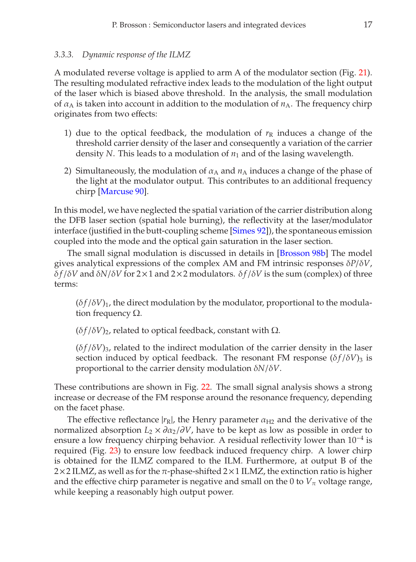A modulated reverse voltage is applied to arm A of the modulator section (Fig. [21\)](#page-17-0). The resulting modulated refractive index leads to the modulation of the light output of the laser which is biased above threshold. In the analysis, the small modulation of  $\alpha_A$  is taken into account in addition to the modulation of  $n_A$ . The frequency chirp originates from two effects:

- 1) due to the optical feedback, the modulation of  $r<sub>R</sub>$  induces a change of the threshold carrier density of the laser and consequently a variation of the carrier density *N*. This leads to a modulation of  $n_1$  and of the lasing wavelength.
- 2) Simultaneously, the modulation of  $\alpha_A$  and  $n_A$  induces a change of the phase of the light at the modulator output. This contributes to an additional frequency chirp [\[Marcuse 90\]](#page-51-5).

In this model, we have neglected the spatial variation of the carrier distribution along the DFB laser section (spatial hole burning), the reflectivity at the laser/modulator interface (justified in the butt-coupling scheme [\[Simes 92\]](#page-52-5)), the spontaneous emission coupled into the mode and the optical gain saturation in the laser section.

The small signal modulation is discussed in details in [\[Brosson 98b\]](#page-48-4) The model gives analytical expressions of the complex AM and FM intrinsic responses δ*P*/δ*V*, δ *f* /δ*V* and δ*N*/δ*V* for 2×1 and 2×2 modulators. δ *f* /δ*V* is the sum (complex) of three terms:

 $(\delta f/\delta V)_1$ , the direct modulation by the modulator, proportional to the modulation frequency  $Ω$ .

 $(\delta f/\delta V)_2$ , related to optical feedback, constant with  $\Omega$ .

 $(\delta f/\delta V)_3$ , related to the indirect modulation of the carrier density in the laser section induced by optical feedback. The resonant FM response  $(\delta f / \delta V)_3$  is proportional to the carrier density modulation δ*N*/δ*V*.

These contributions are shown in Fig. [22.](#page-17-1) The small signal analysis shows a strong increase or decrease of the FM response around the resonance frequency, depending on the facet phase.

The effective reflectance  $|r_R|$ , the Henry parameter  $\alpha_{H2}$  and the derivative of the normalized absorption  $L_2 \times \partial \alpha_2 / \partial V$ , have to be kept as low as possible in order to ensure a low frequency chirping behavior. A residual reflectivity lower than  $10^{-4}$  is required (Fig. [23\)](#page-17-2) to ensure low feedback induced frequency chirp. A lower chirp is obtained for the ILMZ compared to the ILM. Furthermore, at output B of the  $2\times2$  ILMZ, as well as for the  $\pi$ -phase-shifted  $2\times1$  ILMZ, the extinction ratio is higher and the effective chirp parameter is negative and small on the 0 to  $V_\pi$  voltage range, while keeping a reasonably high output power.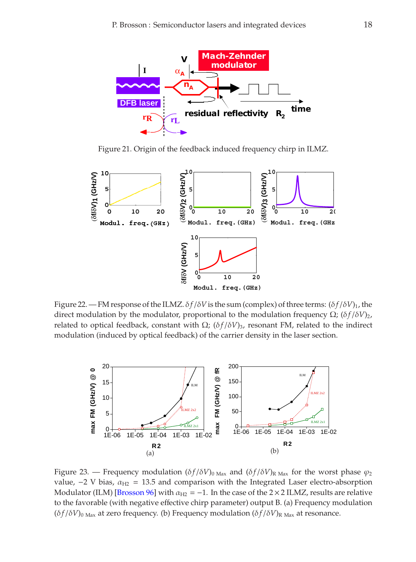

Figure 21. Origin of the feedback induced frequency chirp in ILMZ.

<span id="page-17-0"></span>

<span id="page-17-1"></span>Figure 22. — FM response of the ILMZ.  $\delta f/\delta V$  is the sum (complex) of three terms:  $(\delta f/\delta V)_1$ , the direct modulation by the modulator, proportional to the modulation frequency  $Ω$ ; ( $δf/δV$ )<sub>2</sub>, related to optical feedback, constant with  $Ω$ ; ( $δf/δV$ )<sub>3</sub>, resonant FM, related to the indirect modulation (induced by optical feedback) of the carrier density in the laser section.



<span id="page-17-2"></span>Figure 23. — Frequency modulation  $(\delta f/\delta V)_{\text{Max}}$  and  $(\delta f/\delta V)_{\text{R Max}}$  for the worst phase  $\varphi_2$ value,  $-2$  V bias,  $\alpha_{\text{H2}} = 13.5$  and comparison with the Integrated Laser electro-absorption Modulator (ILM) [\[Brosson 96\]](#page-48-1) with  $\alpha_{H2} = -1$ . In the case of the 2 × 2 ILMZ, results are relative to the favorable (with negative effective chirp parameter) output B. (a) Frequency modulation  $(\delta f / \delta V)_{0 \text{ Max}}$  at zero frequency. (b) Frequency modulation  $(\delta f / \delta V)_{\text{R Max}}$  at resonance.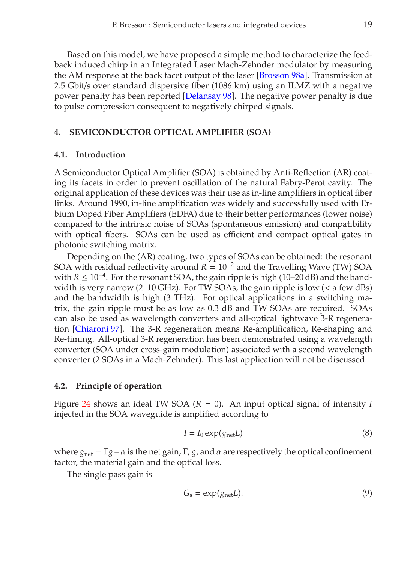Based on this model, we have proposed a simple method to characterize the feedback induced chirp in an Integrated Laser Mach-Zehnder modulator by measuring the AM response at the back facet output of the laser [\[Brosson 98a\]](#page-48-5). Transmission at 2.5 Gbit/s over standard dispersive fiber (1086 km) using an ILMZ with a negative power penalty has been reported [\[Delansay 98\]](#page-49-1). The negative power penalty is due to pulse compression consequent to negatively chirped signals.

### **4. SEMICONDUCTOR OPTICAL AMPLIFIER (SOA)**

### **4.1. Introduction**

A Semiconductor Optical Amplifier (SOA) is obtained by Anti-Reflection (AR) coating its facets in order to prevent oscillation of the natural Fabry-Perot cavity. The original application of these devices was their use as in-line amplifiers in optical fiber links. Around 1990, in-line amplification was widely and successfully used with Erbium Doped Fiber Amplifiers (EDFA) due to their better performances (lower noise) compared to the intrinsic noise of SOAs (spontaneous emission) and compatibility with optical fibers. SOAs can be used as efficient and compact optical gates in photonic switching matrix.

Depending on the (AR) coating, two types of SOAs can be obtained: the resonant SOA with residual reflectivity around *R* = 10<sup>-2</sup> and the Travelling Wave (TW) SOA with *R* ≤ 10<sup>-4</sup>. For the resonant SOA, the gain ripple is high (10–20 dB) and the bandwidth is very narrow (2–10 GHz). For TW SOAs, the gain ripple is low  $\langle \langle a \rangle$  few dBs) and the bandwidth is high (3 THz). For optical applications in a switching matrix, the gain ripple must be as low as 0.3 dB and TW SOAs are required. SOAs can also be used as wavelength converters and all-optical lightwave 3-R regeneration [\[Chiaroni 97\]](#page-49-2). The 3-R regeneration means Re-amplification, Re-shaping and Re-timing. All-optical 3-R regeneration has been demonstrated using a wavelength converter (SOA under cross-gain modulation) associated with a second wavelength converter (2 SOAs in a Mach-Zehnder). This last application will not be discussed.

#### **4.2. Principle of operation**

Figure [24](#page-19-0) shows an ideal TW SOA (*R* = 0). An input optical signal of intensity *I* injected in the SOA waveguide is amplified according to

$$
I = I_0 \exp(g_{\text{net}} L) \tag{8}
$$

where  $g_{\text{net}} = \Gamma g - \alpha$  is the net gain,  $\Gamma$ ,  $g$ , and  $\alpha$  are respectively the optical confinement factor, the material gain and the optical loss.

The single pass gain is

$$
G_{\rm s} = \exp(g_{\rm net}L). \tag{9}
$$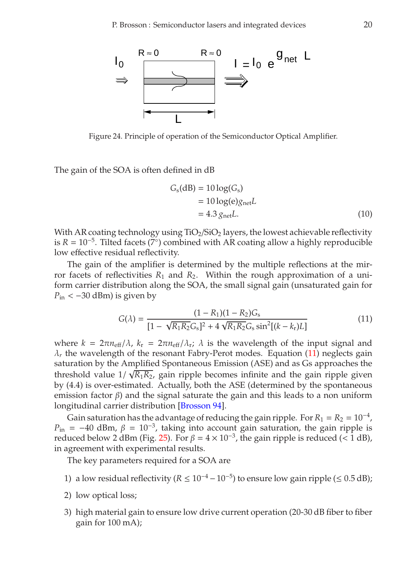

<span id="page-19-0"></span>Figure 24. Principle of operation of the Semiconductor Optical Amplifier.

The gain of the SOA is often defined in dB

$$
Gs(dB) = 10 log(Gs)
$$
  
= 10 log(e)g<sub>net</sub>L  
= 4.3 g<sub>net</sub>L. (10)

With AR coating technology using  $TiO<sub>2</sub>/SiO<sub>2</sub>$  layers, the lowest achievable reflectivity is  $R = 10^{-5}$ . Tilted facets (7<sup>°</sup>) combined with AR coating allow a highly reproducible low effective residual reflectivity.

The gain of the amplifier is determined by the multiple reflections at the mirror facets of reflectivities  $R_1$  and  $R_2$ . Within the rough approximation of a uniform carrier distribution along the SOA, the small signal gain (unsaturated gain for  $P_{\text{in}} < -30$  dBm) is given by

<span id="page-19-1"></span>
$$
G(\lambda) = \frac{(1 - R_1)(1 - R_2)G_s}{[1 - \sqrt{R_1 R_2} G_s]^2 + 4\sqrt{R_1 R_2} G_s \sin^2[(k - k_r)L]}
$$
(11)

where  $k = 2\pi n_{\text{eff}}/\lambda$ ,  $k_r = 2\pi n_{\text{eff}}/\lambda_r$ ;  $\lambda$  is the wavelength of the input signal and  $\lambda_r$  the wavelength of the resonant Fabry-Perot modes. Equation [\(11\)](#page-19-1) neglects gain saturation by the Amplified Spontaneous Emission (ASE) and as Gs approaches the threshold value  $1/\sqrt{R_1R_2}$ , gain ripple becomes infinite and the gain ripple given by (4.4) is over-estimated. Actually, both the ASE (determined by the spontaneous emission factor  $\beta$ ) and the signal saturate the gain and this leads to a non uniform longitudinal carrier distribution [\[Brosson 94\]](#page-48-6).

Gain saturation has the advantage of reducing the gain ripple. For  $R_1 = R_2 = 10^{-4}$ , *P*in = −40 dBm,  $\beta$  = 10<sup>-3</sup>, taking into account gain saturation, the gain ripple is reduced below 2 dBm (Fig. [25\)](#page-20-0). For  $\beta = 4 \times 10^{-3}$ , the gain ripple is reduced (< 1 dB), in agreement with experimental results.

The key parameters required for a SOA are

- 1) a low residual reflectivity ( $R \le 10^{-4} 10^{-5}$ ) to ensure low gain ripple (≤ 0.5 dB);
- 2) low optical loss;
- 3) high material gain to ensure low drive current operation (20-30 dB fiber to fiber gain for 100 mA);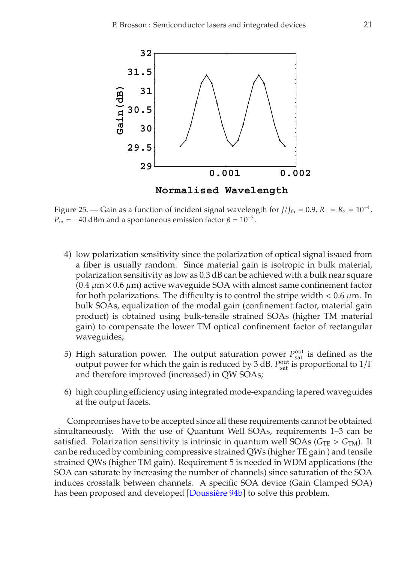

<span id="page-20-0"></span>Figure 25. — Gain as a function of incident signal wavelength for  $J/J_{th} = 0.9$ ,  $R_1 = R_2 = 10^{-4}$ ,  $P_{\text{in}} = -40$  dBm and a spontaneous emission factor  $\beta = 10^{-3}$ .

- 4) low polarization sensitivity since the polarization of optical signal issued from a fiber is usually random. Since material gain is isotropic in bulk material, polarization sensitivity as low as 0.3 dB can be achieved with a bulk near square  $(0.4 \mu m \times 0.6 \mu m)$  active waveguide SOA with almost same confinement factor for both polarizations. The difficulty is to control the stripe width  $< 0.6 \mu m$ . In bulk SOAs, equalization of the modal gain (confinement factor, material gain product) is obtained using bulk-tensile strained SOAs (higher TM material gain) to compensate the lower TM optical confinement factor of rectangular waveguides;
- 5) High saturation power. The output saturation power  $P_{\text{sat}}^{\text{out}}$  is defined as the output power for which the gain is reduced by 3 dB. *P*<sup>out</sup> is proportional to 1/Γ and therefore improved (increased) in QW SOAs;
- 6) high coupling efficiency using integrated mode-expanding tapered waveguides at the output facets.

Compromises have to be accepted since all these requirements cannot be obtained simultaneously. With the use of Quantum Well SOAs, requirements 1–3 can be satisfied. Polarization sensitivity is intrinsic in quantum well SOAs ( $G_{TE} > G_{TM}$ ). It can be reduced by combining compressive strained QWs (higher TE gain ) and tensile strained QWs (higher TM gain). Requirement 5 is needed in WDM applications (the SOA can saturate by increasing the number of channels) since saturation of the SOA induces crosstalk between channels. A specific SOA device (Gain Clamped SOA) has been proposed and developed [\[Doussière 94b\]](#page-49-3) to solve this problem.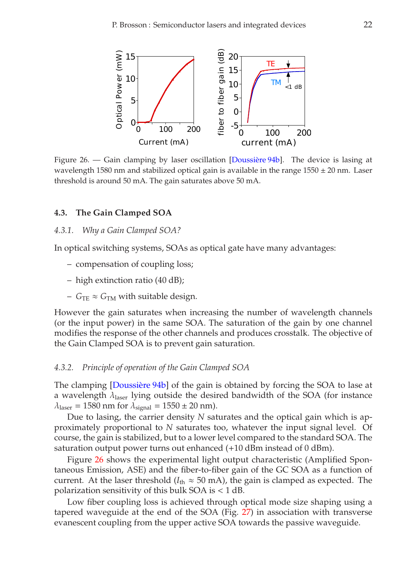

<span id="page-21-0"></span>Figure 26. — Gain clamping by laser oscillation [\[Doussière 94b\]](#page-49-3). The device is lasing at wavelength 1580 nm and stabilized optical gain is available in the range  $1550 \pm 20$  nm. Laser threshold is around 50 mA. The gain saturates above 50 mA.

### **4.3. The Gain Clamped SOA**

### *4.3.1. Why a Gain Clamped SOA?*

In optical switching systems, SOAs as optical gate have many advantages:

- compensation of coupling loss;
- high extinction ratio (40 dB);
- $G_{TE} \approx G_{TM}$  with suitable design.

However the gain saturates when increasing the number of wavelength channels (or the input power) in the same SOA. The saturation of the gain by one channel modifies the response of the other channels and produces crosstalk. The objective of the Gain Clamped SOA is to prevent gain saturation.

#### *4.3.2. Principle of operation of the Gain Clamped SOA*

The clamping [\[Doussière 94b\]](#page-49-3) of the gain is obtained by forcing the SOA to lase at a wavelength  $\lambda_{\text{laser}}$  lying outside the desired bandwidth of the SOA (for instance  $\lambda_{\text{laser}} = 1580 \text{ nm}$  for  $\lambda_{\text{signal}} = 1550 \pm 20 \text{ nm}$ .

Due to lasing, the carrier density *N* saturates and the optical gain which is approximately proportional to *N* saturates too, whatever the input signal level. Of course, the gain is stabilized, but to a lower level compared to the standard SOA. The saturation output power turns out enhanced (+10 dBm instead of 0 dBm).

Figure [26](#page-21-0) shows the experimental light output characteristic (Amplified Spontaneous Emission, ASE) and the fiber-to-fiber gain of the GC SOA as a function of current. At the laser threshold ( $I_{th} \approx 50$  mA), the gain is clamped as expected. The polarization sensitivity of this bulk SOA is < 1 dB.

Low fiber coupling loss is achieved through optical mode size shaping using a tapered waveguide at the end of the SOA (Fig. [27\)](#page-22-0) in association with transverse evanescent coupling from the upper active SOA towards the passive waveguide.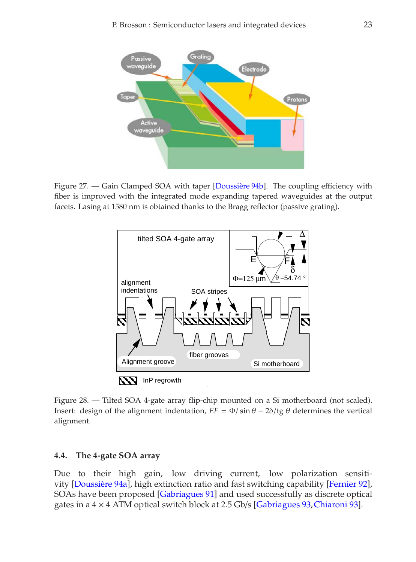

<span id="page-22-0"></span>Figure 27. — Gain Clamped SOA with taper [\[Doussière 94b\]](#page-49-3). The coupling efficiency with fiber is improved with the integrated mode expanding tapered waveguides at the output facets. Lasing at 1580 nm is obtained thanks to the Bragg reflector (passive grating).



<span id="page-22-1"></span>Figure 28. — Tilted SOA 4-gate array flip-chip mounted on a Si motherboard (not scaled). Insert: design of the alignment indentation,  $EF = \Phi / \sin \theta - 2\delta / \text{tg } \theta$  determines the vertical alignment.

### **4.4. The 4-gate SOA array**

Due to their high gain, low driving current, low polarization sensitivity [\[Doussière 94a\]](#page-49-4), high extinction ratio and fast switching capability [\[Fernier 92\]](#page-50-4), SOAs have been proposed [\[Gabriagues 91\]](#page-50-5) and used successfully as discrete optical gates in a  $4 \times 4$  ATM optical switch block at 2.5 Gb/s [\[Gabriagues 93,](#page-50-6) [Chiaroni 93\]](#page-49-5).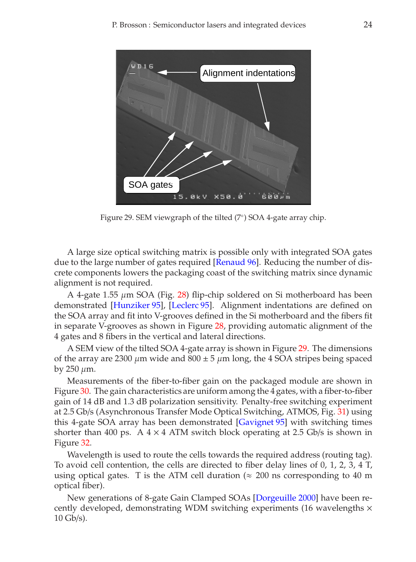

<span id="page-23-0"></span>Figure 29. SEM viewgraph of the tilted (7◦) SOA 4-gate array chip.

A large size optical switching matrix is possible only with integrated SOA gates due to the large number of gates required [\[Renaud 96\]](#page-52-6). Reducing the number of discrete components lowers the packaging coast of the switching matrix since dynamic alignment is not required.

A 4-gate 1.55 µm SOA (Fig. [28\)](#page-22-1) flip-chip soldered on Si motherboard has been demonstrated [\[Hunziker 95\]](#page-50-7), [\[Leclerc 95\]](#page-51-6). Alignment indentations are defined on the SOA array and fit into V-grooves defined in the Si motherboard and the fibers fit in separate V-grooves as shown in Figure [28,](#page-22-1) providing automatic alignment of the 4 gates and 8 fibers in the vertical and lateral directions.

A SEM view of the tilted SOA 4-gate array is shown in Figure [29.](#page-23-0) The dimensions of the array are 2300  $\mu$ m wide and 800  $\pm$  5  $\mu$ m long, the 4 SOA stripes being spaced by  $250 \mu m$ .

Measurements of the fiber-to-fiber gain on the packaged module are shown in Figure [30.](#page-24-0) The gain characteristics are uniform among the 4 gates, with a fiber-to-fiber gain of 14 dB and 1.3 dB polarization sensitivity. Penalty-free switching experiment at 2.5 Gb/s (Asynchronous Transfer Mode Optical Switching, ATMOS, Fig. [31\)](#page-24-1) using this 4-gate SOA array has been demonstrated [\[Gavignet 95\]](#page-50-8) with switching times shorter than 400 ps. A  $4 \times 4$  ATM switch block operating at 2.5 Gb/s is shown in Figure [32.](#page-25-0)

Wavelength is used to route the cells towards the required address (routing tag). To avoid cell contention, the cells are directed to fiber delay lines of 0, 1, 2, 3, 4 T, using optical gates. T is the ATM cell duration ( $\approx$  200 ns corresponding to 40 m optical fiber).

New generations of 8-gate Gain Clamped SOAs [\[Dorgeuille 2000\]](#page-49-6) have been recently developed, demonstrating WDM switching experiments (16 wavelengths  $\times$  $10$  Gb/s).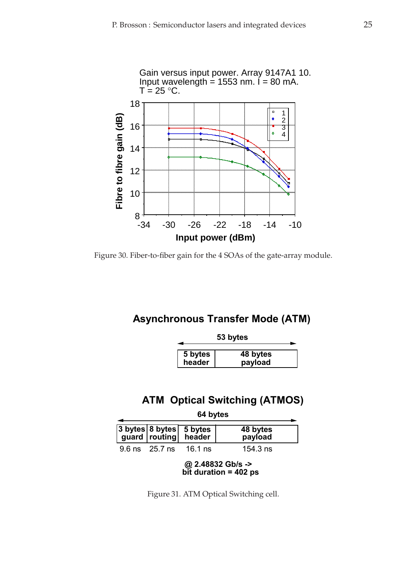

<span id="page-24-0"></span>Figure 30. Fiber-to-fiber gain for the 4 SOAs of the gate-array module.

# **Asynchronous Transfer Mode (ATM)**

| 53 bytes          |                     |  |
|-------------------|---------------------|--|
| 5 bytes<br>header | 48 bytes<br>payload |  |

# **ATM Optical Switching (ATMOS)**

| 64 bytes |                        |                                                 |                     |
|----------|------------------------|-------------------------------------------------|---------------------|
|          |                        | 3 bytes 8 bytes 5 bytes<br>guard routing header | 48 bytes<br>payload |
|          | 9.6 ns 25.7 ns 16.1 ns |                                                 | 154.3 $ns$          |

**@ 2.48832 Gb/s -> bit duration = 402 ps**

<span id="page-24-1"></span>Figure 31. ATM Optical Switching cell.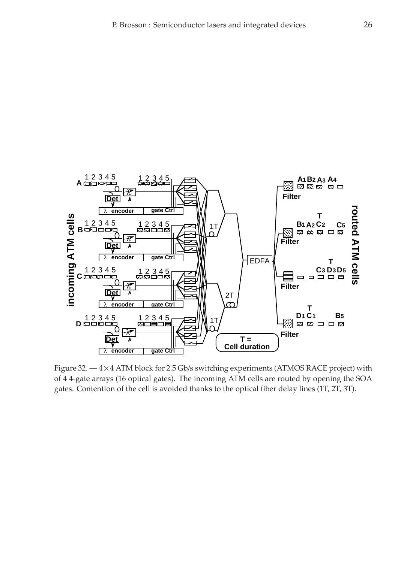

<span id="page-25-0"></span>Figure 32.  $-4 \times 4$  ATM block for 2.5 Gb/s switching experiments (ATMOS RACE project) with of 4 4-gate arrays (16 optical gates). The incoming ATM cells are routed by opening the SOA gates. Contention of the cell is avoided thanks to the optical fiber delay lines (1T, 2T, 3T).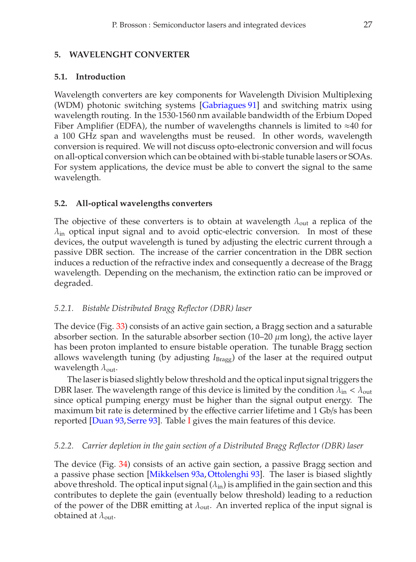# **5. WAVELENGHT CONVERTER**

# **5.1. Introduction**

Wavelength converters are key components for Wavelength Division Multiplexing (WDM) photonic switching systems [\[Gabriagues 91\]](#page-50-5) and switching matrix using wavelength routing. In the 1530-1560 nm available bandwidth of the Erbium Doped Fiber Amplifier (EDFA), the number of wavelengths channels is limited to  $\approx 40$  for a 100 GHz span and wavelengths must be reused. In other words, wavelength conversion is required. We will not discuss opto-electronic conversion and will focus on all-optical conversion which can be obtained with bi-stable tunable lasers or SOAs. For system applications, the device must be able to convert the signal to the same wavelength.

# **5.2. All-optical wavelengths converters**

The objective of these converters is to obtain at wavelength  $\lambda_{\text{out}}$  a replica of the  $\lambda_{\rm in}$  optical input signal and to avoid optic-electric conversion. In most of these devices, the output wavelength is tuned by adjusting the electric current through a passive DBR section. The increase of the carrier concentration in the DBR section induces a reduction of the refractive index and consequently a decrease of the Bragg wavelength. Depending on the mechanism, the extinction ratio can be improved or degraded.

# *5.2.1. Bistable Distributed Bragg Reflector (DBR) laser*

The device (Fig. [33\)](#page-27-0) consists of an active gain section, a Bragg section and a saturable absorber section. In the saturable absorber section (10-20  $\mu$ m long), the active layer has been proton implanted to ensure bistable operation. The tunable Bragg section allows wavelength tuning (by adjusting *I*Bragg) of the laser at the required output wavelength  $\lambda_{\text{out}}$ .

The laser is biased slightly below threshold and the optical input signal triggers the DBR laser. The wavelength range of this device is limited by the condition  $\lambda_{\rm in} < \lambda_{\rm out}$ since optical pumping energy must be higher than the signal output energy. The maximum bit rate is determined by the effective carrier lifetime and 1 Gb/s has been reported [\[Duan 93,](#page-49-7) [Serre 93\]](#page-52-7). Table [I](#page-28-0) gives the main features of this device.

# *5.2.2. Carrier depletion in the gain section of a Distributed Bragg Reflector (DBR) laser*

The device (Fig. [34\)](#page-27-1) consists of an active gain section, a passive Bragg section and a passive phase section [\[Mikkelsen 93a,](#page-52-8) [Ottolenghi 93\]](#page-52-9). The laser is biased slightly above threshold. The optical input signal  $(\lambda_{\rm in})$  is amplified in the gain section and this contributes to deplete the gain (eventually below threshold) leading to a reduction of the power of the DBR emitting at  $\lambda_{\text{out}}$ . An inverted replica of the input signal is obtained at  $\lambda_{\text{out}}$ .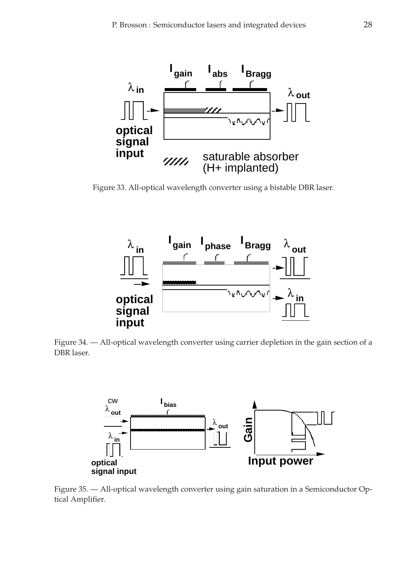

<span id="page-27-0"></span>Figure 33. All-optical wavelength converter using a bistable DBR laser.



<span id="page-27-1"></span>Figure 34. — All-optical wavelength converter using carrier depletion in the gain section of a DBR laser.



<span id="page-27-2"></span>Figure 35. — All-optical wavelength converter using gain saturation in a Semiconductor Optical Amplifier.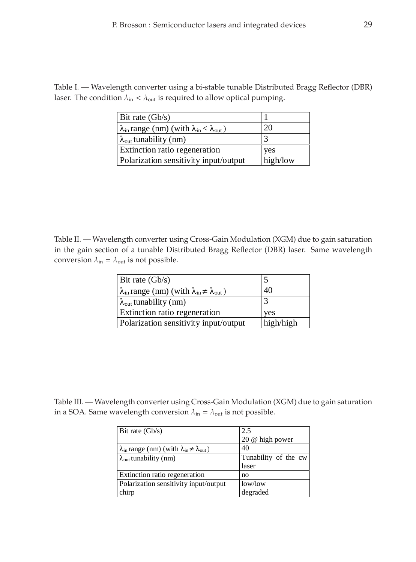<span id="page-28-0"></span>Table I. — Wavelength converter using a bi-stable tunable Distributed Bragg Reflector (DBR) laser. The condition  $\lambda_{\text{in}} < \lambda_{\text{out}}$  is required to allow optical pumping.

| Bit rate $(Gb/s)$                                                                     |          |
|---------------------------------------------------------------------------------------|----------|
| $\lambda_{\text{in}}$ range (nm) (with $\lambda_{\text{in}} < \lambda_{\text{out}}$ ) | 20       |
| $\lambda_{\text{out}}$ tunability (nm)                                                |          |
| <b>Extinction ratio regeneration</b>                                                  | ves      |
| Polarization sensitivity input/output                                                 | high/low |

<span id="page-28-1"></span>Table II. — Wavelength converter using Cross-Gain Modulation (XGM) due to gain saturation in the gain section of a tunable Distributed Bragg Reflector (DBR) laser. Same wavelength conversion  $\lambda_{\text{in}} = \lambda_{\text{out}}$  is not possible.

| Bit rate $(Gb/s)$                                                                        |           |
|------------------------------------------------------------------------------------------|-----------|
| $\lambda_{\text{in}}$ range (nm) (with $\lambda_{\text{in}} \neq \lambda_{\text{out}}$ ) | 40        |
| $\lambda_{\text{out}}$ tunability (nm)                                                   |           |
| <b>Extinction ratio regeneration</b>                                                     | ves       |
| Polarization sensitivity input/output                                                    | high/high |

<span id="page-28-2"></span>Table III. — Wavelength converter using Cross-Gain Modulation (XGM) due to gain saturation in a SOA. Same wavelength conversion  $\lambda_{\text{in}} = \lambda_{\text{out}}$  is not possible.

| 2.5                  |  |
|----------------------|--|
| 20 @ high power      |  |
| 40                   |  |
| Tunability of the cw |  |
| laser                |  |
| no                   |  |
| low/low              |  |
| degraded             |  |
|                      |  |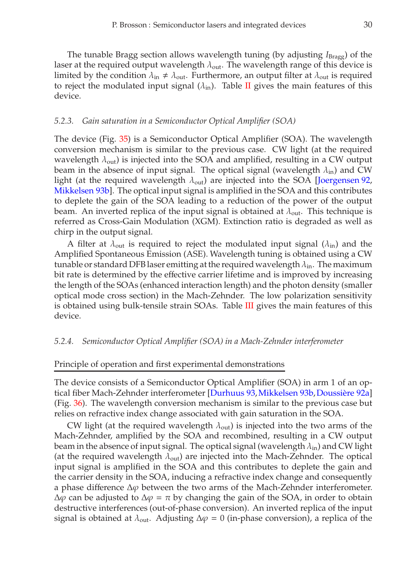The tunable Bragg section allows wavelength tuning (by adjusting *I*<sub>Bragg</sub>) of the laser at the required output wavelength  $\lambda_{\text{out}}$ . The wavelength range of this device is limited by the condition  $\lambda_{\text{in}} \neq \lambda_{\text{out}}$ . Furthermore, an output filter at  $\lambda_{\text{out}}$  is required to reject the modulated input signal  $(\lambda_{\rm in})$ . Table [II](#page-28-1) gives the main features of this device.

### *5.2.3. Gain saturation in a Semiconductor Optical Amplifier (SOA)*

The device (Fig. [35\)](#page-27-2) is a Semiconductor Optical Amplifier (SOA). The wavelength conversion mechanism is similar to the previous case. CW light (at the required wavelength  $\lambda_{\text{out}}$ ) is injected into the SOA and amplified, resulting in a CW output beam in the absence of input signal. The optical signal (wavelength  $\lambda_{\rm in}$ ) and CW light (at the required wavelength  $\lambda_{\text{out}}$ ) are injected into the SOA [\[Joergensen 92,](#page-51-7) [Mikkelsen 93b\]](#page-52-10). The optical input signal is amplified in the SOA and this contributes to deplete the gain of the SOA leading to a reduction of the power of the output beam. An inverted replica of the input signal is obtained at  $\lambda_{\text{out}}$ . This technique is referred as Cross-Gain Modulation (XGM). Extinction ratio is degraded as well as chirp in the output signal.

A filter at  $\lambda_{\text{out}}$  is required to reject the modulated input signal ( $\lambda_{\text{in}}$ ) and the Amplified Spontaneous Emission (ASE). Wavelength tuning is obtained using a CW tunable or standard DFB laser emitting at the required wavelength  $\lambda_{\rm in}$ . The maximum bit rate is determined by the effective carrier lifetime and is improved by increasing the length of the SOAs (enhanced interaction length) and the photon density (smaller optical mode cross section) in the Mach-Zehnder. The low polarization sensitivity is obtained using bulk-tensile strain SOAs. Table [III](#page-28-2) gives the main features of this device.

### *5.2.4. Semiconductor Optical Amplifier (SOA) in a Mach-Zehnder interferometer*

### Principle of operation and first experimental demonstrations

The device consists of a Semiconductor Optical Amplifier (SOA) in arm 1 of an optical fiber Mach-Zehnder interferometer [\[Durhuus 93,](#page-49-8)[Mikkelsen 93b,](#page-52-10)[Doussière 92a\]](#page-49-9) (Fig. [36\)](#page-30-0). The wavelength conversion mechanism is similar to the previous case but relies on refractive index change associated with gain saturation in the SOA.

CW light (at the required wavelength  $\lambda_{\text{out}}$ ) is injected into the two arms of the Mach-Zehnder, amplified by the SOA and recombined, resulting in a CW output beam in the absence of input signal. The optical signal (wavelength  $\lambda_{\rm in}$ ) and CW light (at the required wavelength  $\lambda_{\text{out}}$ ) are injected into the Mach-Zehnder. The optical input signal is amplified in the SOA and this contributes to deplete the gain and the carrier density in the SOA, inducing a refractive index change and consequently a phase difference  $\Delta\varphi$  between the two arms of the Mach-Zehnder interferometer.  $\Delta\varphi$  can be adjusted to  $\Delta\varphi = \pi$  by changing the gain of the SOA, in order to obtain destructive interferences (out-of-phase conversion). An inverted replica of the input signal is obtained at  $\lambda_{\text{out}}$ . Adjusting  $\Delta \varphi = 0$  (in-phase conversion), a replica of the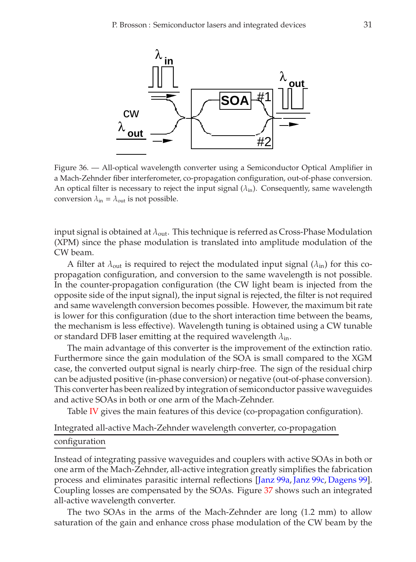

<span id="page-30-0"></span>Figure 36. — All-optical wavelength converter using a Semiconductor Optical Amplifier in a Mach-Zehnder fiber interferometer, co-propagation configuration, out-of-phase conversion. An optical filter is necessary to reject the input signal  $(\lambda_{\rm in})$ . Consequently, same wavelength conversion  $\lambda_{\rm in} = \lambda_{\rm out}$  is not possible.

input signal is obtained at  $\lambda_{\text{out}}$ . This technique is referred as Cross-Phase Modulation (XPM) since the phase modulation is translated into amplitude modulation of the CW beam.

A filter at  $\lambda_{\text{out}}$  is required to reject the modulated input signal  $(\lambda_{\text{in}})$  for this copropagation configuration, and conversion to the same wavelength is not possible. In the counter-propagation configuration (the CW light beam is injected from the opposite side of the input signal), the input signal is rejected, the filter is not required and same wavelength conversion becomes possible. However, the maximum bit rate is lower for this configuration (due to the short interaction time between the beams, the mechanism is less effective). Wavelength tuning is obtained using a CW tunable or standard DFB laser emitting at the required wavelength  $\lambda_{\rm in}$ .

The main advantage of this converter is the improvement of the extinction ratio. Furthermore since the gain modulation of the SOA is small compared to the XGM case, the converted output signal is nearly chirp-free. The sign of the residual chirp can be adjusted positive (in-phase conversion) or negative (out-of-phase conversion). This converter has been realized by integration of semiconductor passive waveguides and active SOAs in both or one arm of the Mach-Zehnder.

Table [IV](#page-32-0) gives the main features of this device (co-propagation configuration).

# Integrated all-active Mach-Zehnder wavelength converter, co-propagation configuration

Instead of integrating passive waveguides and couplers with active SOAs in both or one arm of the Mach-Zehnder, all-active integration greatly simplifies the fabrication process and eliminates parasitic internal reflections [\[Janz 99a,](#page-50-9) [Janz 99c,](#page-51-8) [Dagens 99\]](#page-49-10). Coupling losses are compensated by the SOAs. Figure [37](#page-31-0) shows such an integrated all-active wavelength converter.

The two SOAs in the arms of the Mach-Zehnder are long (1.2 mm) to allow saturation of the gain and enhance cross phase modulation of the CW beam by the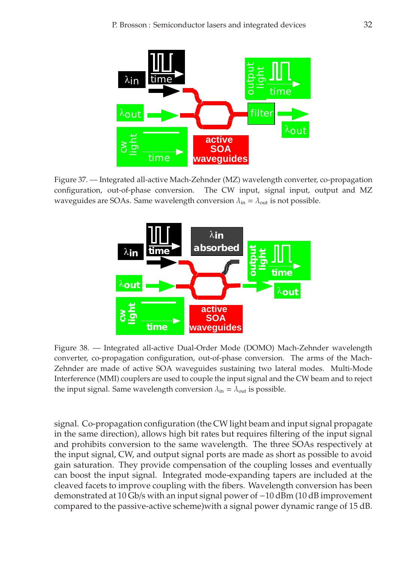

<span id="page-31-0"></span>Figure 37. — Integrated all-active Mach-Zehnder (MZ) wavelength converter, co-propagation configuration, out-of-phase conversion. The CW input, signal input, output and MZ waveguides are SOAs. Same wavelength conversion  $\lambda_{\text{in}} = \lambda_{\text{out}}$  is not possible.



<span id="page-31-1"></span>Figure 38. — Integrated all-active Dual-Order Mode (DOMO) Mach-Zehnder wavelength converter, co-propagation configuration, out-of-phase conversion. The arms of the Mach-Zehnder are made of active SOA waveguides sustaining two lateral modes. Multi-Mode Interference (MMI) couplers are used to couple the input signal and the CW beam and to reject the input signal. Same wavelength conversion  $\lambda_{\text{in}} = \lambda_{\text{out}}$  is possible.

signal. Co-propagation configuration (the CW light beam and input signal propagate in the same direction), allows high bit rates but requires filtering of the input signal and prohibits conversion to the same wavelength. The three SOAs respectively at the input signal, CW, and output signal ports are made as short as possible to avoid gain saturation. They provide compensation of the coupling losses and eventually can boost the input signal. Integrated mode-expanding tapers are included at the cleaved facets to improve coupling with the fibers. Wavelength conversion has been demonstrated at 10 Gb/s with an input signal power of −10 dBm (10 dB improvement compared to the passive-active scheme)with a signal power dynamic range of 15 dB.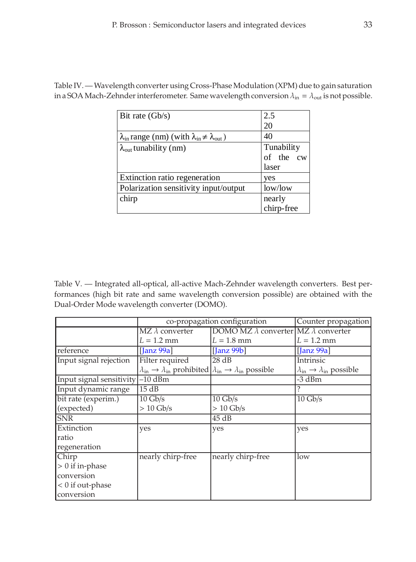| Bit rate $(Gb/s)$                                                               | 2.5        |
|---------------------------------------------------------------------------------|------------|
|                                                                                 | 20         |
| $\lambda_{\rm in}$ range (nm) (with $\lambda_{\rm in} \neq \lambda_{\rm out}$ ) | 40         |
| $\lambda_{\text{out}}$ tunability (nm)                                          | Tunability |
|                                                                                 | of the cw  |
|                                                                                 | laser      |
| Extinction ratio regeneration                                                   | yes        |
| Polarization sensitivity input/output                                           | low/low    |
| chirp                                                                           | nearly     |
|                                                                                 | chirp-free |

<span id="page-32-0"></span>Table IV.—Wavelength converter using Cross-Phase Modulation (XPM) due to gain saturation in a SOA Mach-Zehnder interferometer. Same wavelength conversion  $\lambda_{\text{in}} = \lambda_{\text{out}}$  is not possible.

<span id="page-32-1"></span>Table V. — Integrated all-optical, all-active Mach-Zehnder wavelength converters. Best performances (high bit rate and same wavelength conversion possible) are obtained with the Dual-Order Mode wavelength converter (DOMO).

|                                    | co-propagation configuration                                                                                        |                                                    | Counter propagation                                      |
|------------------------------------|---------------------------------------------------------------------------------------------------------------------|----------------------------------------------------|----------------------------------------------------------|
|                                    | $MZ \lambda$ converter                                                                                              | DOMO MZ $\lambda$ converter MZ $\lambda$ converter |                                                          |
|                                    | $L = 1.2$ mm                                                                                                        | $L = 1.8$ mm                                       | $L = 1.2$ mm                                             |
| reference                          | $\lfloor$ anz 99a $\rfloor$                                                                                         | $\left[ \text{Janz } 99b \right]$                  | $\left[$ Janz 99a $\right]$                              |
| Input signal rejection             | Filter required                                                                                                     | 28 dB                                              | Intrinsic                                                |
|                                    | $\lambda_{\rm in} \rightarrow \lambda_{\rm in}$ prohibited $\lambda_{\rm in} \rightarrow \lambda_{\rm in}$ possible |                                                    | $\lambda_{\rm in} \rightarrow \lambda_{\rm in}$ possible |
| Input signal sensitivity $-10$ dBm |                                                                                                                     |                                                    | -3 dBm                                                   |
| Input dynamic range                | 15 dB                                                                                                               |                                                    |                                                          |
| bit rate (experim.)                | $10 \text{ Gb/s}$                                                                                                   | $10 \text{ Gb/s}$                                  | $10 \text{ Gb/s}$                                        |
| (expected)                         | $> 10$ Gb/s                                                                                                         | $> 10$ Gb/s                                        |                                                          |
| <b>SNR</b>                         |                                                                                                                     | 45 dB                                              |                                                          |
| Extinction                         | yes                                                                                                                 | yes                                                | yes                                                      |
| ratio                              |                                                                                                                     |                                                    |                                                          |
| regeneration                       |                                                                                                                     |                                                    |                                                          |
| Chirp                              | nearly chirp-free                                                                                                   | nearly chirp-free                                  | low                                                      |
| $> 0$ if in-phase                  |                                                                                                                     |                                                    |                                                          |
| conversion                         |                                                                                                                     |                                                    |                                                          |
| $< 0$ if out-phase                 |                                                                                                                     |                                                    |                                                          |
| conversion                         |                                                                                                                     |                                                    |                                                          |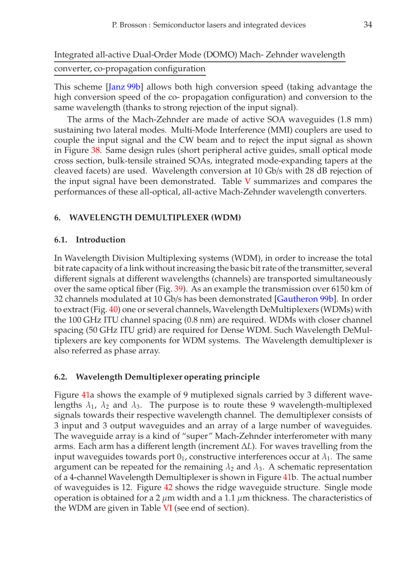This scheme [\[Janz 99b\]](#page-51-9) allows both high conversion speed (taking advantage the high conversion speed of the co- propagation configuration) and conversion to the same wavelength (thanks to strong rejection of the input signal).

The arms of the Mach-Zehnder are made of active SOA waveguides (1.8 mm) sustaining two lateral modes. Multi-Mode Interference (MMI) couplers are used to couple the input signal and the CW beam and to reject the input signal as shown in Figure [38.](#page-31-1) Same design rules (short peripheral active guides, small optical mode cross section, bulk-tensile strained SOAs, integrated mode-expanding tapers at the cleaved facets) are used. Wavelength conversion at 10 Gb/s with 28 dB rejection of the input signal have been demonstrated. Table  $V$  summarizes and compares the performances of these all-optical, all-active Mach-Zehnder wavelength converters.

# **6. WAVELENGTH DEMULTIPLEXER (WDM)**

# **6.1. Introduction**

In Wavelength Division Multiplexing systems (WDM), in order to increase the total bit rate capacity of a link without increasing the basic bit rate of the transmitter, several different signals at different wavelengths (channels) are transported simultaneously over the same optical fiber (Fig. [39\)](#page-34-0). As an example the transmission over 6150 km of 32 channels modulated at 10 Gb/s has been demonstrated [\[Gautheron 99b\]](#page-50-10). In order to extract (Fig. [40\)](#page-34-1) one or several channels, Wavelength DeMultiplexers (WDMs) with the 100 GHz ITU channel spacing (0.8 nm) are required. WDMs with closer channel spacing (50 GHz ITU grid) are required for Dense WDM. Such Wavelength DeMultiplexers are key components for WDM systems. The Wavelength demultiplexer is also referred as phase array.

# **6.2. Wavelength Demultiplexer operating principle**

Figure [41a](#page-34-2) shows the example of 9 mutiplexed signals carried by 3 different wavelengths  $\lambda_1$ ,  $\lambda_2$  and  $\lambda_3$ . The purpose is to route these 9 wavelength-multiplexed signals towards their respective wavelength channel. The demultiplexer consists of 3 input and 3 output waveguides and an array of a large number of waveguides. The waveguide array is a kind of "super" Mach-Zehnder interferometer with many arms. Each arm has a different length (increment ∆*L*). For waves travelling from the input waveguides towards port  $0<sub>1</sub>$ , constructive interferences occur at  $\lambda<sub>1</sub>$ . The same argument can be repeated for the remaining  $\lambda_2$  and  $\lambda_3$ . A schematic representation of a 4-channel Wavelength Demultiplexer is shown in Figure [41b](#page-34-2). The actual number of waveguides is 12. Figure [42](#page-35-0) shows the ridge waveguide structure. Single mode operation is obtained for a 2  $\mu$ m width and a 1.1  $\mu$ m thickness. The characteristics of the WDM are given in Table [VI](#page-36-0) (see end of section).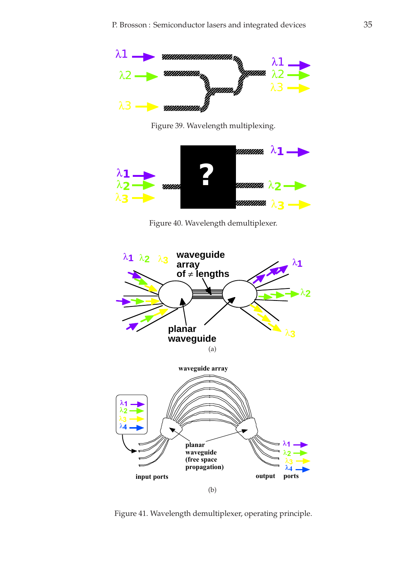

Figure 39. Wavelength multiplexing.

<span id="page-34-0"></span>

Figure 40. Wavelength demultiplexer.

<span id="page-34-1"></span>

<span id="page-34-2"></span>Figure 41. Wavelength demultiplexer, operating principle.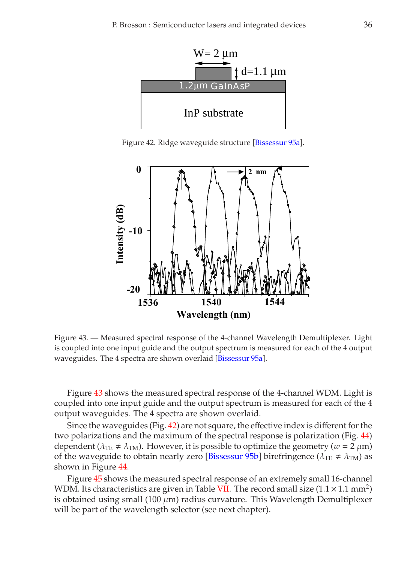

Figure 42. Ridge waveguide structure [\[Bissessur 95a\]](#page-48-7).

<span id="page-35-0"></span>

<span id="page-35-1"></span>Figure 43. — Measured spectral response of the 4-channel Wavelength Demultiplexer. Light is coupled into one input guide and the output spectrum is measured for each of the 4 output waveguides. The 4 spectra are shown overlaid [\[Bissessur 95a\]](#page-48-7).

Figure [43](#page-35-1) shows the measured spectral response of the 4-channel WDM. Light is coupled into one input guide and the output spectrum is measured for each of the 4 output waveguides. The 4 spectra are shown overlaid.

Since the waveguides (Fig. [42\)](#page-35-0) are not square, the effective index is different for the two polarizations and the maximum of the spectral response is polarization (Fig. [44\)](#page-36-1) dependent ( $\lambda_{TE} \neq \lambda_{TM}$ ). However, it is possible to optimize the geometry ( $w = 2 \mu m$ ) of the waveguide to obtain nearly zero [\[Bissessur 95b\]](#page-48-8) birefringence ( $\lambda_{TE} \neq \lambda_{TM}$ ) as shown in Figure [44.](#page-36-1)

Figure [45](#page-36-2) shows the measured spectral response of an extremely small 16-channel WDM. Its characteristics are given in Table [VII.](#page-36-3) The record small size  $(1.1 \times 1.1 \text{ mm}^2)$ is obtained using small (100  $\mu$ m) radius curvature. This Wavelength Demultiplexer will be part of the wavelength selector (see next chapter).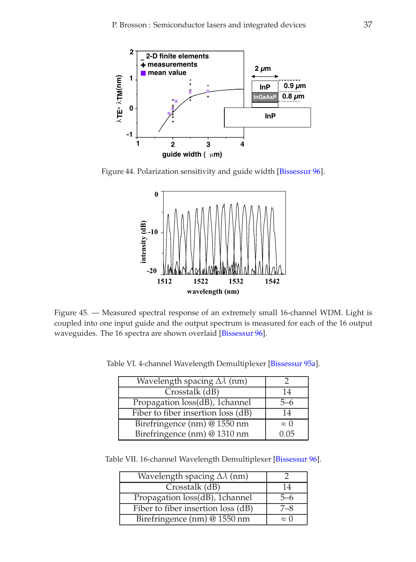

<span id="page-36-1"></span>Figure 44. Polarization sensitivity and guide width [\[Bissessur 96\]](#page-48-9).



<span id="page-36-2"></span>Figure 45. — Measured spectral response of an extremely small 16-channel WDM. Light is coupled into one input guide and the output spectrum is measured for each of the 16 output waveguides. The 16 spectra are shown overlaid [\[Bissessur 96\]](#page-48-9).

<span id="page-36-0"></span>Table VI. 4-channel Wavelength Demultiplexer [\[Bissessur 95a\]](#page-48-7).

| Wavelength spacing $\Delta\lambda$ (nm) |                |
|-----------------------------------------|----------------|
| Crosstalk (dB)                          | 14             |
| Propagation loss(dB), 1channel          | $\neg -\wedge$ |
| Fiber to fiber insertion loss (dB)      | 14             |
| Birefringence (nm) @ 1550 nm            | $\approx 0$    |
| Birefringence (nm) @ 1310 nm            | 0.05           |

<span id="page-36-3"></span>Table VII. 16-channel Wavelength Demultiplexer [\[Bissessur 96\]](#page-48-9).

| Wavelength spacing $\Delta\lambda$ (nm) |             |
|-----------------------------------------|-------------|
| Crosstalk (dB)                          | 14          |
| Propagation loss(dB), 1channel          | -6          |
| Fiber to fiber insertion loss (dB)      | 7_8         |
| Birefringence (nm) @ 1550 nm            | $\approx 0$ |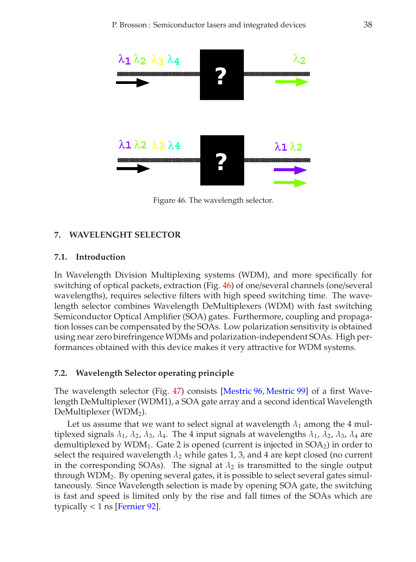

<span id="page-37-0"></span>Figure 46. The wavelength selector.

# **7. WAVELENGHT SELECTOR**

### **7.1. Introduction**

In Wavelength Division Multiplexing systems (WDM), and more specifically for switching of optical packets, extraction (Fig. [46\)](#page-37-0) of one/several channels (one/several wavelengths), requires selective filters with high speed switching time. The wavelength selector combines Wavelength DeMultiplexers (WDM) with fast switching Semiconductor Optical Amplifier (SOA) gates. Furthermore, coupling and propagation losses can be compensated by the SOAs. Low polarization sensitivity is obtained using near zero birefringence WDMs and polarization-independent SOAs. High performances obtained with this device makes it very attractive for WDM systems.

## **7.2. Wavelength Selector operating principle**

The wavelength selector (Fig. [47\)](#page-38-0) consists [\[Mestric 96,](#page-52-11) [Mestric 99\]](#page-52-12) of a first Wavelength DeMultiplexer (WDM1), a SOA gate array and a second identical Wavelength DeMultiplexer (WDM2).

Let us assume that we want to select signal at wavelength  $\lambda_1$  among the 4 multiplexed signals  $\lambda_1$ ,  $\lambda_2$ ,  $\lambda_3$ ,  $\lambda_4$ . The 4 input signals at wavelengths  $\lambda_1$ ,  $\lambda_2$ ,  $\lambda_3$ ,  $\lambda_4$  are demultiplexed by  $WDM_1$ . Gate 2 is opened (current is injected in  $SOA_2$ ) in order to select the required wavelength  $\lambda_2$  while gates 1, 3, and 4 are kept closed (no current in the corresponding SOAs). The signal at  $\lambda_2$  is transmitted to the single output through  $WDM<sub>2</sub>$ . By opening several gates, it is possible to select several gates simultaneously. Since Wavelength selection is made by opening SOA gate, the switching is fast and speed is limited only by the rise and fall times of the SOAs which are typically  $< 1$  ns [\[Fernier 92\]](#page-50-4).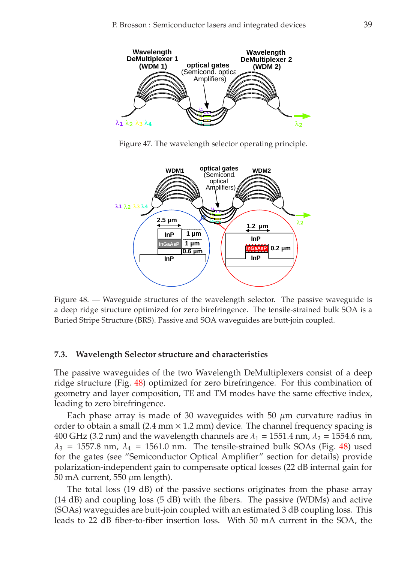

Figure 47. The wavelength selector operating principle.

<span id="page-38-0"></span>

<span id="page-38-1"></span>Figure 48. — Waveguide structures of the wavelength selector. The passive waveguide is a deep ridge structure optimized for zero birefringence. The tensile-strained bulk SOA is a Buried Stripe Structure (BRS). Passive and SOA waveguides are butt-join coupled.

#### **7.3. Wavelength Selector structure and characteristics**

The passive waveguides of the two Wavelength DeMultiplexers consist of a deep ridge structure (Fig. [48\)](#page-38-1) optimized for zero birefringence. For this combination of geometry and layer composition, TE and TM modes have the same effective index, leading to zero birefringence.

Each phase array is made of 30 waveguides with 50  $\mu$ m curvature radius in order to obtain a small (2.4 mm  $\times$  1.2 mm) device. The channel frequency spacing is 400 GHz (3.2 nm) and the wavelength channels are  $\lambda_1 = 1551.4$  nm,  $\lambda_2 = 1554.6$  nm,  $\lambda_3$  = 1557.8 nm,  $\lambda_4$  = 1561.0 nm. The tensile-strained bulk SOAs (Fig. [48\)](#page-38-1) used for the gates (see "Semiconductor Optical Amplifier" section for details) provide polarization-independent gain to compensate optical losses (22 dB internal gain for 50 mA current, 550  $\mu$ m length).

The total loss (19 dB) of the passive sections originates from the phase array (14 dB) and coupling loss (5 dB) with the fibers. The passive (WDMs) and active (SOAs) waveguides are butt-join coupled with an estimated 3 dB coupling loss. This leads to 22 dB fiber-to-fiber insertion loss. With 50 mA current in the SOA, the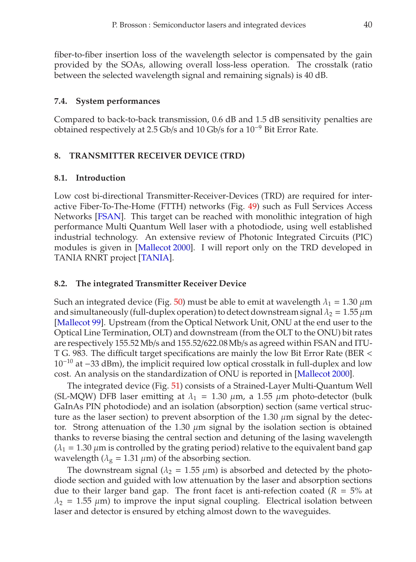fiber-to-fiber insertion loss of the wavelength selector is compensated by the gain provided by the SOAs, allowing overall loss-less operation. The crosstalk (ratio between the selected wavelength signal and remaining signals) is 40 dB.

## **7.4. System performances**

Compared to back-to-back transmission, 0.6 dB and 1.5 dB sensitivity penalties are obtained respectively at 2.5 Gb/s and 10 Gb/s for a 10−<sup>9</sup> Bit Error Rate.

# **8. TRANSMITTER RECEIVER DEVICE (TRD)**

## **8.1. Introduction**

Low cost bi-directional Transmitter-Receiver-Devices (TRD) are required for interactive Fiber-To-The-Home (FTTH) networks (Fig. [49\)](#page-40-0) such as Full Services Access Networks [\[FSAN\]](#page-50-11). This target can be reached with monolithic integration of high performance Multi Quantum Well laser with a photodiode, using well established industrial technology. An extensive review of Photonic Integrated Circuits (PIC) modules is given in [\[Mallecot 2000\]](#page-51-10). I will report only on the TRD developed in TANIA RNRT project [\[TANIA\]](#page-52-13).

# **8.2. The integrated Transmitter Receiver Device**

Such an integrated device (Fig. [50\)](#page-40-1) must be able to emit at wavelength  $\lambda_1 = 1.30 \,\mu m$ and simultaneously (full-duplex operation) to detect downstream signal  $\lambda_2 = 1.55 \,\mu m$ [\[Mallecot 99\]](#page-51-11). Upstream (from the Optical Network Unit, ONU at the end user to the Optical Line Termination, OLT) and downstream (from the OLT to the ONU) bit rates are respectively 155.52 Mb/s and 155.52/622.08Mb/s as agreed within FSAN and ITU-T G. 983. The difficult target specifications are mainly the low Bit Error Rate (BER <  $10^{-10}$  at  $-33$  dBm), the implicit required low optical crosstalk in full-duplex and low cost. An analysis on the standardization of ONU is reported in [\[Mallecot 2000\]](#page-51-10).

The integrated device (Fig. [51\)](#page-40-2) consists of a Strained-Layer Multi-Quantum Well (SL-MQW) DFB laser emitting at  $\lambda_1 = 1.30 \mu$ m, a 1.55  $\mu$ m photo-detector (bulk GaInAs PIN photodiode) and an isolation (absorption) section (same vertical structure as the laser section) to prevent absorption of the 1.30  $\mu$ m signal by the detector. Strong attenuation of the 1.30  $\mu$ m signal by the isolation section is obtained thanks to reverse biasing the central section and detuning of the lasing wavelength  $(\lambda_1 = 1.30 \,\mu\text{m}$  is controlled by the grating period) relative to the equivalent band gap wavelength ( $\lambda_{\rm g}$  = 1.31  $\mu$ m) of the absorbing section.

The downstream signal ( $\lambda_2 = 1.55 \mu m$ ) is absorbed and detected by the photodiode section and guided with low attenuation by the laser and absorption sections due to their larger band gap. The front facet is anti-refection coated  $(R = 5\%$  at  $\lambda_2$  = 1.55  $\mu$ m) to improve the input signal coupling. Electrical isolation between laser and detector is ensured by etching almost down to the waveguides.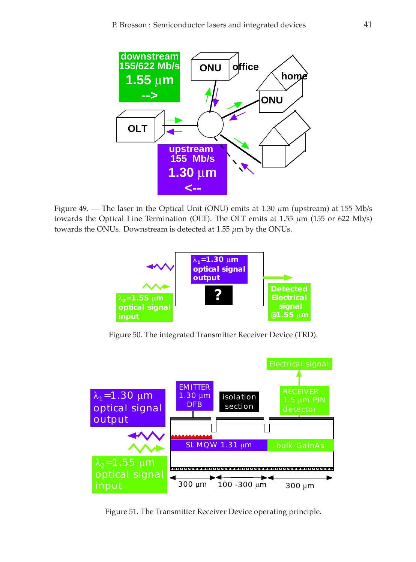

<span id="page-40-0"></span>Figure 49. — The laser in the Optical Unit (ONU) emits at 1.30  $\mu$ m (upstream) at 155 Mb/s towards the Optical Line Termination (OLT). The OLT emits at 1.55  $\mu$ m (155 or 622 Mb/s) towards the ONUs. Downstream is detected at  $1.55 \mu m$  by the ONUs.



Figure 50. The integrated Transmitter Receiver Device (TRD).

<span id="page-40-1"></span>

<span id="page-40-2"></span>Figure 51. The Transmitter Receiver Device operating principle.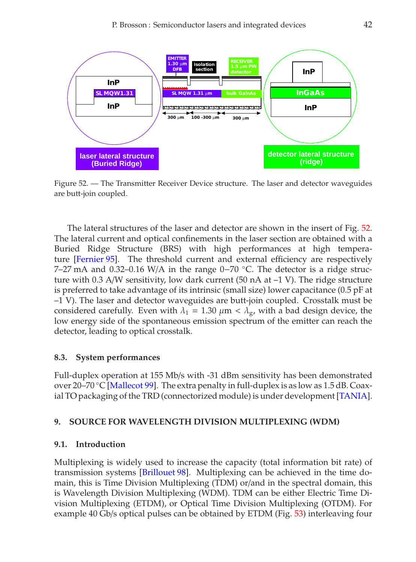

<span id="page-41-0"></span>Figure 52. — The Transmitter Receiver Device structure. The laser and detector waveguides are butt-join coupled.

The lateral structures of the laser and detector are shown in the insert of Fig. [52.](#page-41-0) The lateral current and optical confinements in the laser section are obtained with a Buried Ridge Structure (BRS) with high performances at high temperature [\[Fernier 95\]](#page-50-12). The threshold current and external efficiency are respectively 7–27 mA and 0.32–0.16 W/A in the range 0−70 ◦C. The detector is a ridge structure with 0.3 A/W sensitivity, low dark current (50 nA at  $-1$  V). The ridge structure is preferred to take advantage of its intrinsic (small size) lower capacitance (0.5 pF at –1 V). The laser and detector waveguides are butt-join coupled. Crosstalk must be considered carefully. Even with  $\lambda_1 = 1.30 \mu m < \lambda_g$ , with a bad design device, the low energy side of the spontaneous emission spectrum of the emitter can reach the detector, leading to optical crosstalk.

## **8.3. System performances**

Full-duplex operation at 155 Mb/s with -31 dBm sensitivity has been demonstrated over 20–70 °C [\[Mallecot 99\]](#page-51-11). The extra penalty in full-duplex is as low as 1.5 dB. Coaxial TO packaging of the TRD (connectorized module) is under development [\[TANIA\]](#page-52-13).

## **9. SOURCE FOR WAVELENGTH DIVISION MULTIPLEXING (WDM)**

## **9.1. Introduction**

Multiplexing is widely used to increase the capacity (total information bit rate) of transmission systems [\[Brillouet 98\]](#page-48-10). Multiplexing can be achieved in the time domain, this is Time Division Multiplexing (TDM) or/and in the spectral domain, this is Wavelength Division Multiplexing (WDM). TDM can be either Electric Time Division Multiplexing (ETDM), or Optical Time Division Multiplexing (OTDM). For example 40 Gb/s optical pulses can be obtained by ETDM (Fig. [53\)](#page-42-0) interleaving four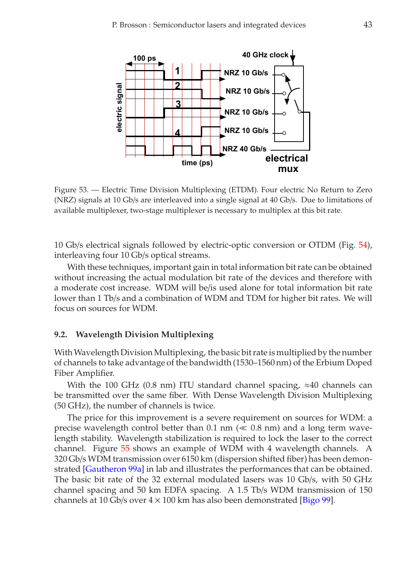

<span id="page-42-0"></span>Figure 53. — Electric Time Division Multiplexing (ETDM). Four electric No Return to Zero (NRZ) signals at 10 Gb/s are interleaved into a single signal at 40 Gb/s. Due to limitations of available multiplexer, two-stage multiplexer is necessary to multiplex at this bit rate.

10 Gb/s electrical signals followed by electric-optic conversion or OTDM (Fig. [54\)](#page-43-0), interleaving four 10 Gb/s optical streams.

With these techniques, important gain in total information bit rate can be obtained without increasing the actual modulation bit rate of the devices and therefore with a moderate cost increase. WDM will be/is used alone for total information bit rate lower than 1 Tb/s and a combination of WDM and TDM for higher bit rates. We will focus on sources for WDM.

## **9.2. Wavelength Division Multiplexing**

With Wavelength Division Multiplexing, the basic bit rate is multiplied by the number of channels to take advantage of the bandwidth (1530–1560 nm) of the Erbium Doped Fiber Amplifier.

With the 100 GHz (0.8 nm) ITU standard channel spacing,  $\approx$ 40 channels can be transmitted over the same fiber. With Dense Wavelength Division Multiplexing (50 GHz), the number of channels is twice.

The price for this improvement is a severe requirement on sources for WDM: a precise wavelength control better than  $0.1$  nm ( $\ll 0.8$  nm) and a long term wavelength stability. Wavelength stabilization is required to lock the laser to the correct channel. Figure [55](#page-43-1) shows an example of WDM with 4 wavelength channels. A 320 Gb/s WDM transmission over 6150 km (dispersion shifted fiber) has been demonstrated [\[Gautheron 99a\]](#page-50-13) in lab and illustrates the performances that can be obtained. The basic bit rate of the 32 external modulated lasers was 10 Gb/s, with 50 GHz channel spacing and 50 km EDFA spacing. A 1.5 Tb/s WDM transmission of 150 channels at 10 Gb/s over  $4 \times 100$  km has also been demonstrated [\[Bigo 99\]](#page-48-11).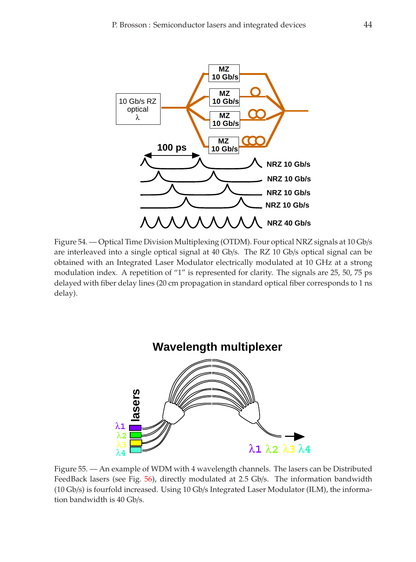

<span id="page-43-0"></span>Figure 54. — Optical Time Division Multiplexing (OTDM). Four optical NRZ signals at 10 Gb/s are interleaved into a single optical signal at 40 Gb/s. The RZ 10 Gb/s optical signal can be obtained with an Integrated Laser Modulator electrically modulated at 10 GHz at a strong modulation index. A repetition of "1" is represented for clarity. The signals are 25, 50, 75 ps delayed with fiber delay lines (20 cm propagation in standard optical fiber corresponds to 1 ns delay).



<span id="page-43-1"></span>Figure 55. — An example of WDM with 4 wavelength channels. The lasers can be Distributed FeedBack lasers (see Fig. [56\)](#page-44-0), directly modulated at 2.5 Gb/s. The information bandwidth (10 Gb/s) is fourfold increased. Using 10 Gb/s Integrated Laser Modulator (ILM), the information bandwidth is 40 Gb/s.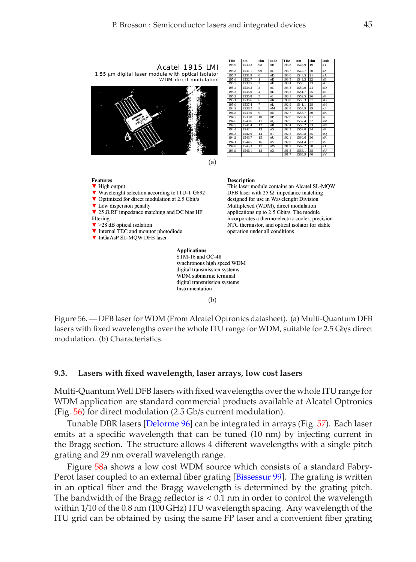

digital transmission systems Instrumentation

(b)

<span id="page-44-0"></span>Figure 56. — DFB laser for WDM (From Alcatel Optronics datasheet). (a) Multi-Quantum DFB lasers with fixed wavelengths over the whole ITU range for WDM, suitable for 2.5 Gb/s direct modulation. (b) Characteristics.

## **9.3. Lasers with fixed wavelength, laser arrays, low cost lasers**

Multi-QuantumWell DFB lasers with fixed wavelengths over the whole ITU range for WDM application are standard commercial products available at Alcatel Optronics (Fig. [56\)](#page-44-0) for direct modulation (2.5 Gb/s current modulation).

Tunable DBR lasers [\[Delorme 96\]](#page-49-11) can be integrated in arrays (Fig. [57\)](#page-45-0). Each laser emits at a specific wavelength that can be tuned (10 nm) by injecting current in the Bragg section. The structure allows 4 different wavelengths with a single pitch grating and 29 nm overall wavelength range.

Figure [58a](#page-46-0) shows a low cost WDM source which consists of a standard Fabry-Perot laser coupled to an external fiber grating [\[Bissessur 99\]](#page-48-12). The grating is written in an optical fiber and the Bragg wavelength is determined by the grating pitch. The bandwidth of the Bragg reflector is  $< 0.1$  nm in order to control the wavelength within 1/10 of the 0.8 nm (100 GHz) ITU wavelength spacing. Any wavelength of the ITU grid can be obtained by using the same FP laser and a convenient fiber grating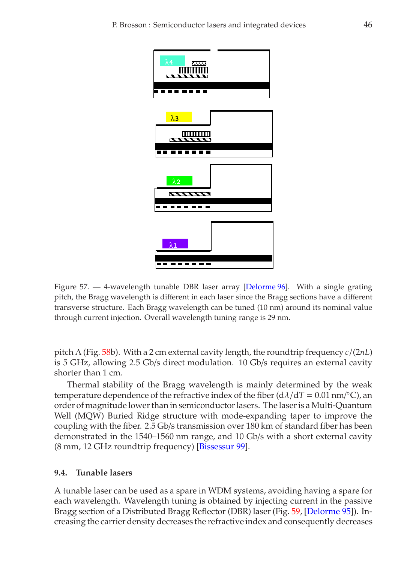

<span id="page-45-0"></span>Figure 57. — 4-wavelength tunable DBR laser array [\[Delorme 96\]](#page-49-11). With a single grating pitch, the Bragg wavelength is different in each laser since the Bragg sections have a different transverse structure. Each Bragg wavelength can be tuned (10 nm) around its nominal value through current injection. Overall wavelength tuning range is 29 nm.

pitch Λ (Fig. [58b](#page-46-0)). With a 2 cm external cavity length, the roundtrip frequency *c*/(2*nL*) is 5 GHz, allowing 2.5 Gb/s direct modulation. 10 Gb/s requires an external cavity shorter than 1 cm.

Thermal stability of the Bragg wavelength is mainly determined by the weak temperature dependence of the refractive index of the fiber  $(d\lambda/dT = 0.01$  nm/ $^{\circ}$ C), an order of magnitude lower than in semiconductor lasers. The laser is a Multi-Quantum Well (MQW) Buried Ridge structure with mode-expanding taper to improve the coupling with the fiber. 2.5 Gb/s transmission over 180 km of standard fiber has been demonstrated in the 1540–1560 nm range, and 10 Gb/s with a short external cavity (8 mm, 12 GHz roundtrip frequency) [\[Bissessur 99\]](#page-48-12).

### **9.4. Tunable lasers**

A tunable laser can be used as a spare in WDM systems, avoiding having a spare for each wavelength. Wavelength tuning is obtained by injecting current in the passive Bragg section of a Distributed Bragg Reflector (DBR) laser (Fig. [59,](#page-47-0) [\[Delorme 95\]](#page-49-12)). Increasing the carrier density decreases the refractive index and consequently decreases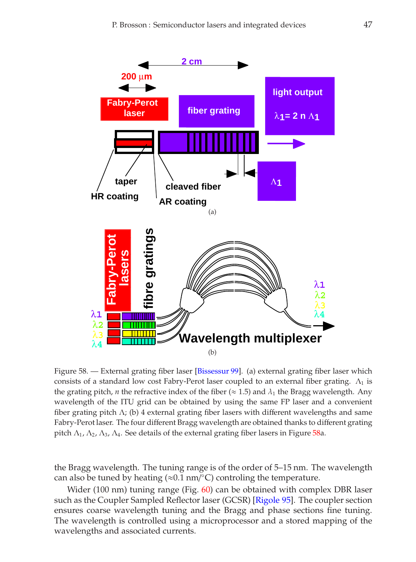

<span id="page-46-0"></span>Figure 58. - External grating fiber laser [\[Bissessur 99\]](#page-48-12). (a) external grating fiber laser which consists of a standard low cost Fabry-Perot laser coupled to an external fiber grating.  $\Lambda_1$  is the grating pitch, *n* the refractive index of the fiber ( $\approx$  1.5) and  $\lambda_1$  the Bragg wavelength. Any wavelength of the ITU grid can be obtained by using the same FP laser and a convenient fiber grating pitch  $\Lambda$ ; (b) 4 external grating fiber lasers with different wavelengths and same Fabry-Perot laser. The four different Bragg wavelength are obtained thanks to different grating pitch  $\Lambda_1$ ,  $\Lambda_2$ ,  $\Lambda_3$ ,  $\Lambda_4$ . See details of the external grating fiber lasers in Figure [58a](#page-46-0).

the Bragg wavelength. The tuning range is of the order of 5–15 nm. The wavelength can also be tuned by heating (≈ $0.1$  nm/°C) controling the temperature.

Wider (100 nm) tuning range (Fig. [60\)](#page-47-1) can be obtained with complex DBR laser such as the Coupler Sampled Reflector laser (GCSR) [\[Rigole 95\]](#page-52-14). The coupler section ensures coarse wavelength tuning and the Bragg and phase sections fine tuning. The wavelength is controlled using a microprocessor and a stored mapping of the wavelengths and associated currents.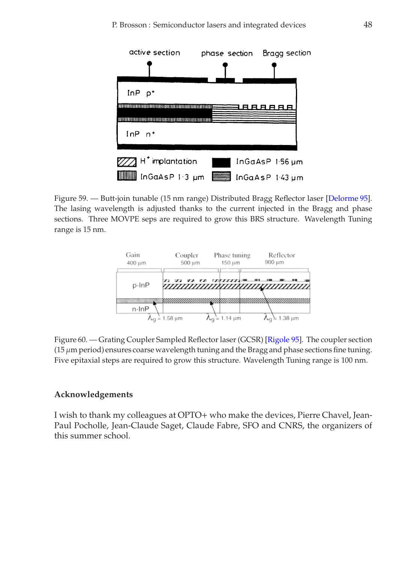

<span id="page-47-0"></span>Figure 59. — Butt-join tunable (15 nm range) Distributed Bragg Reflector laser [\[Delorme 95\]](#page-49-12). The lasing wavelength is adjusted thanks to the current injected in the Bragg and phase sections. Three MOVPE seps are required to grow this BRS structure. Wavelength Tuning range is 15 nm.



<span id="page-47-1"></span>Figure 60. — Grating Coupler Sampled Reflector laser (GCSR) [\[Rigole 95\]](#page-52-14). The coupler section  $(15 \mu m)$  period) ensures coarse wavelength tuning and the Bragg and phase sections fine tuning. Five epitaxial steps are required to grow this structure. Wavelength Tuning range is 100 nm.

### **Acknowledgements**

I wish to thank my colleagues at OPTO+ who make the devices, Pierre Chavel, Jean-Paul Pocholle, Jean-Claude Saget, Claude Fabre, SFO and CNRS, the organizers of this summer school.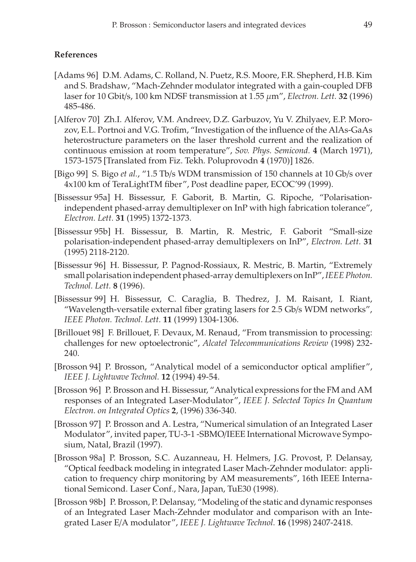### **References**

- <span id="page-48-3"></span>[Adams 96] D.M. Adams, C. Rolland, N. Puetz, R.S. Moore, F.R. Shepherd, H.B. Kim and S. Bradshaw, "Mach-Zehnder modulator integrated with a gain-coupled DFB laser for 10 Gbit/s, 100 km NDSF transmission at 1.55 µm", *Electron. Lett.* **32** (1996) 485-486.
- <span id="page-48-0"></span>[Alferov 70] Zh.I. Alferov, V.M. Andreev, D.Z. Garbuzov, Yu V. Zhilyaev, E.P. Morozov, E.L. Portnoi and V.G. Trofim, "Investigation of the influence of the AlAs-GaAs heterostructure parameters on the laser threshold current and the realization of continuous emission at room temperature", *Sov. Phys. Semicond.* **4** (March 1971), 1573-1575 [Translated from Fiz. Tekh. Poluprovodn **4** (1970)] 1826.
- <span id="page-48-11"></span>[Bigo 99] S. Bigo *et al.*, "1.5 Tb/s WDM transmission of 150 channels at 10 Gb/s over 4x100 km of TeraLightTM fiber", Post deadline paper, ECOC'99 (1999).
- <span id="page-48-7"></span>[Bissessur 95a] H. Bissessur, F. Gaborit, B. Martin, G. Ripoche, "Polarisationindependent phased-array demultiplexer on InP with high fabrication tolerance", *Electron. Lett.* **31** (1995) 1372-1373.
- <span id="page-48-8"></span>[Bissessur 95b] H. Bissessur, B. Martin, R. Mestric, F. Gaborit "Small-size polarisation-independent phased-array demultiplexers on InP", *Electron. Lett.* **31** (1995) 2118-2120.
- <span id="page-48-9"></span>[Bissessur 96] H. Bissessur, P. Pagnod-Rossiaux, R. Mestric, B. Martin, "Extremely small polarisation independent phased-array demultiplexers on InP",*IEEE Photon. Technol. Lett.* **8** (1996).
- <span id="page-48-12"></span>[Bissessur 99] H. Bissessur, C. Caraglia, B. Thedrez, J. M. Raisant, I. Riant, "Wavelength-versatile external fiber grating lasers for 2.5 Gb/s WDM networks", *IEEE Photon. Technol. Lett.* **11** (1999) 1304-1306.
- <span id="page-48-10"></span>[Brillouet 98] F. Brillouet, F. Devaux, M. Renaud, "From transmission to processing: challenges for new optoelectronic", *Alcatel Telecommunications Review* (1998) 232- 240.
- <span id="page-48-6"></span>[Brosson 94] P. Brosson, "Analytical model of a semiconductor optical amplifier", *IEEE J. Lightwave Technol.* **12** (1994) 49-54.
- <span id="page-48-1"></span>[Brosson 96] P. Brosson and H. Bissessur, "Analytical expressions for the FM and AM responses of an Integrated Laser-Modulator", *IEEE J. Selected Topics In Quantum Electron. on Integrated Optics* **2**, (1996) 336-340.
- <span id="page-48-2"></span>[Brosson 97] P. Brosson and A. Lestra, "Numerical simulation of an Integrated Laser Modulator", invited paper, TU-3-1 -SBMO/IEEE International Microwave Symposium, Natal, Brazil (1997).
- <span id="page-48-5"></span>[Brosson 98a] P. Brosson, S.C. Auzanneau, H. Helmers, J.G. Provost, P. Delansay, "Optical feedback modeling in integrated Laser Mach-Zehnder modulator: application to frequency chirp monitoring by AM measurements", 16th IEEE International Semicond. Laser Conf., Nara, Japan, TuE30 (1998).
- <span id="page-48-4"></span>[Brosson 98b] P. Brosson, P. Delansay, "Modeling of the static and dynamic responses of an Integrated Laser Mach-Zehnder modulator and comparison with an Integrated Laser E/A modulator", *IEEE J. Lightwave Technol.* **16** (1998) 2407-2418.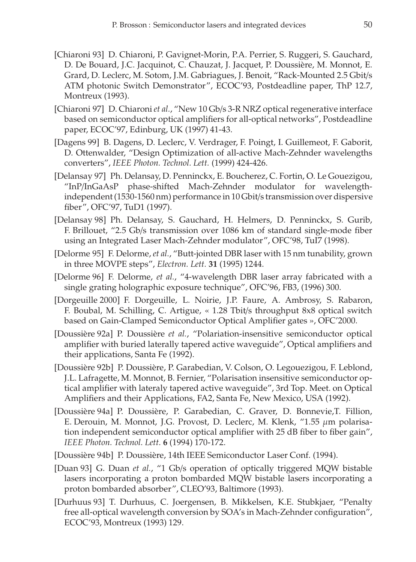- <span id="page-49-5"></span>[Chiaroni 93] D. Chiaroni, P. Gavignet-Morin, P.A. Perrier, S. Ruggeri, S. Gauchard, D. De Bouard, J.C. Jacquinot, C. Chauzat, J. Jacquet, P. Doussière, M. Monnot, E. Grard, D. Leclerc, M. Sotom, J.M. Gabriagues, J. Benoit, "Rack-Mounted 2.5 Gbit/s ATM photonic Switch Demonstrator", ECOC'93, Postdeadline paper, ThP 12.7, Montreux (1993).
- <span id="page-49-2"></span>[Chiaroni 97] D. Chiaroni*et al.*, "New 10 Gb/s 3-R NRZ optical regenerative interface based on semiconductor optical amplifiers for all-optical networks", Postdeadline paper, ECOC'97, Edinburg, UK (1997) 41-43.
- <span id="page-49-10"></span>[Dagens 99] B. Dagens, D. Leclerc, V. Verdrager, F. Poingt, I. Guillemeot, F. Gaborit, D. Ottenwalder, "Design Optimization of all-active Mach-Zehnder wavelengths converters", *IEEE Photon. Technol. Lett.* (1999) 424-426.
- <span id="page-49-0"></span>[Delansay 97] Ph. Delansay, D. Penninckx, E. Boucherez, C. Fortin, O. Le Gouezigou, "InP/InGaAsP phase-shifted Mach-Zehnder modulator for wavelengthindependent (1530-1560 nm) performance in 10 Gbit/s transmission over dispersive fiber", OFC'97, TuD1 (1997).
- <span id="page-49-1"></span>[Delansay 98] Ph. Delansay, S. Gauchard, H. Helmers, D. Penninckx, S. Gurib, F. Brillouet, "2.5 Gb/s transmission over 1086 km of standard single-mode fiber using an Integrated Laser Mach-Zehnder modulator", OFC'98, TuI7 (1998).
- <span id="page-49-12"></span>[Delorme 95] F. Delorme, *et al.*, "Butt-jointed DBR laser with 15 nm tunability, grown in three MOVPE steps", *Electron. Lett.* **31** (1995) 1244.
- <span id="page-49-11"></span>[Delorme 96] F. Delorme, *et al.*, "4-wavelength DBR laser array fabricated with a single grating holographic exposure technique", OFC'96, FB3, (1996) 300.
- <span id="page-49-6"></span>[Dorgeuille 2000] F. Dorgeuille, L. Noirie, J.P. Faure, A. Ambrosy, S. Rabaron, F. Boubal, M. Schilling, C. Artigue, « 1.28 Tbit/s throughput 8x8 optical switch based on Gain-Clamped Semiconductor Optical Amplifier gates », OFC'2000.
- <span id="page-49-9"></span>[Doussière 92a] P. Doussière *et al.*, "Polariation-insensitive semiconductor optical amplifier with buried laterally tapered active waveguide", Optical amplifiers and their applications, Santa Fe (1992).
- [Doussière 92b] P. Doussière, P. Garabedian, V. Colson, O. Legouezigou, F. Leblond, J.L. Lafragette, M. Monnot, B. Fernier, "Polarisation insensitive semiconductor optical amplifier with lateraly tapered active waveguide", 3rd Top. Meet. on Optical Amplifiers and their Applications, FA2, Santa Fe, New Mexico, USA (1992).
- <span id="page-49-4"></span>[Doussière 94a] P. Doussière, P. Garabedian, C. Graver, D. Bonnevie,T. Fillion, E. Derouin, M. Monnot, J.G. Provost, D. Leclerc, M. Klenk, "1.55 µm polarisation independent semiconductor optical amplifier with 25 dB fiber to fiber gain", *IEEE Photon. Technol. Lett.* **6** (1994) 170-172.
- <span id="page-49-3"></span>[Doussière 94b] P. Doussière, 14th IEEE Semiconductor Laser Conf. (1994).
- <span id="page-49-7"></span>[Duan 93] G. Duan *et al.*, "1 Gb/s operation of optically triggered MQW bistable lasers incorporating a proton bombarded MQW bistable lasers incorporating a proton bombarded absorber", CLEO'93, Baltimore (1993).
- <span id="page-49-8"></span>[Durhuus 93] T. Durhuus, C. Joergensen, B. Mikkelsen, K.E. Stubkjaer, "Penalty free all-optical wavelength conversion by SOA's in Mach-Zehnder configuration", ECOC'93, Montreux (1993) 129.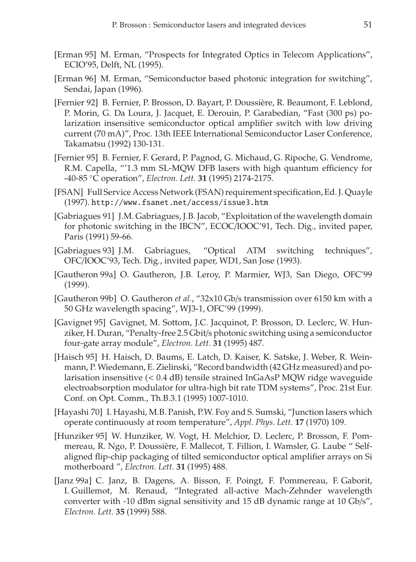- <span id="page-50-1"></span>[Erman 95] M. Erman, "Prospects for Integrated Optics in Telecom Applications", ECIO'95, Delft, NL (1995).
- <span id="page-50-2"></span>[Erman 96] M. Erman, "Semiconductor based photonic integration for switching", Sendai, Japan (1996).
- <span id="page-50-4"></span>[Fernier 92] B. Fernier, P. Brosson, D. Bayart, P. Doussière, R. Beaumont, F. Leblond, P. Morin, G. Da Loura, J. Jacquet, E. Derouin, P. Garabedian, "Fast (300 ps) polarization insensitive semiconductor optical amplifier switch with low driving current (70 mA)", Proc. 13th IEEE International Semiconductor Laser Conference, Takamatsu (1992) 130-131.
- <span id="page-50-12"></span>[Fernier 95] B. Fernier, F. Gerard, P. Pagnod, G. Michaud, G. Ripoche, G. Vendrome, R.M. Capella, "'1.3 mm SL-MQW DFB lasers with high quantum efficiency for -40-85 ◦C operation", *Electron. Lett.* **31** (1995) 2174-2175.
- <span id="page-50-11"></span>[FSAN] Full Service Access Network (FSAN) requirement specification, Ed. J. Quayle (1997). http://www.fsanet.net/access/issue3.htm
- <span id="page-50-5"></span>[Gabriagues 91] J.M. Gabriagues, J.B. Jacob, "Exploitation of the wavelength domain for photonic switching in the IBCN", ECOC/IOOC'91, Tech. Dig., invited paper, Paris (1991) 59-66.
- <span id="page-50-6"></span>[Gabriagues 93] J.M. Gabriagues, "Optical ATM switching techniques", OFC/IOOC'93, Tech. Dig., invited paper, WD1, San Jose (1993).
- <span id="page-50-13"></span>[Gautheron 99a] O. Gautheron, J.B. Leroy, P. Marmier, WJ3, San Diego, OFC'99 (1999).
- <span id="page-50-10"></span>[Gautheron 99b] O. Gautheron *et al.*, "32x10 Gb/s transmission over 6150 km with a 50 GHz wavelength spacing", WJ3-1, OFC'99 (1999).
- <span id="page-50-8"></span>[Gavignet 95] Gavignet, M. Sottom, J.C. Jacquinot, P. Brosson, D. Leclerc, W. Hunziker, H. Duran, "Penalty-free 2.5 Gbit/s photonic switching using a semiconductor four-gate array module", *Electron. Lett.* **31** (1995) 487.
- <span id="page-50-3"></span>[Haisch 95] H. Haisch, D. Baums, E. Latch, D. Kaiser, K. Satske, J. Weber, R. Weinmann, P. Wiedemann, E. Zielinski, "Record bandwidth (42 GHz measured) and polarisation insensitive (< 0.4 dB) tensile strained InGaAsP MQW ridge waveguide electroabsorption modulator for ultra-high bit rate TDM systems", Proc. 21st Eur. Conf. on Opt. Comm., Th.B.3.1 (1995) 1007-1010.
- <span id="page-50-0"></span>[Hayashi 70] I. Hayashi, M.B. Panish, P.W. Foy and S. Sumski, "Junction lasers which operate continuously at room temperature", *Appl. Phys. Lett.* **17** (1970) 109.
- <span id="page-50-7"></span>[Hunziker 95] W. Hunziker, W. Vogt, H. Melchior, D. Leclerc, P. Brosson, F. Pommereau, R. Ngo, P. Doussière, F. Mallecot, T. Fillion, I. Wamsler, G. Laube " Selfaligned flip-chip packaging of tilted semiconductor optical amplifier arrays on Si motherboard ", *Electron. Lett.* **31** (1995) 488.
- <span id="page-50-9"></span>[Janz 99a] C. Janz, B. Dagens, A. Bisson, F. Poingt, F. Pommereau, F. Gaborit, I. Guillemot, M. Renaud, "Integrated all-active Mach-Zehnder wavelength converter with -10 dBm signal sensitivity and 15 dB dynamic range at 10 Gb/s", *Electron. Lett.* **35** (1999) 588.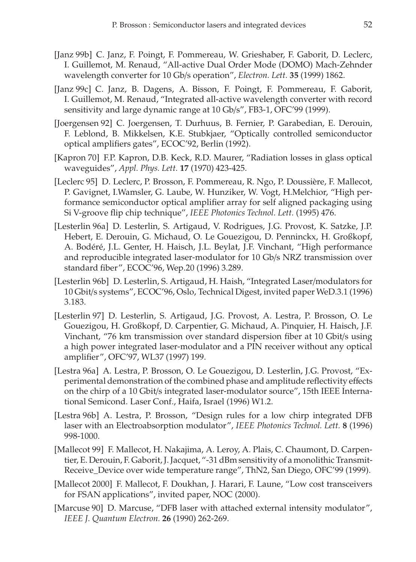- <span id="page-51-9"></span>[Janz 99b] C. Janz, F. Poingt, F. Pommereau, W. Grieshaber, F. Gaborit, D. Leclerc, I. Guillemot, M. Renaud, "All-active Dual Order Mode (DOMO) Mach-Zehnder wavelength converter for 10 Gb/s operation", *Electron. Lett.* **35** (1999) 1862.
- <span id="page-51-8"></span>[Janz 99c] C. Janz, B. Dagens, A. Bisson, F. Poingt, F. Pommereau, F. Gaborit, I. Guillemot, M. Renaud, "Integrated all-active wavelength converter with record sensitivity and large dynamic range at 10 Gb/s", FB3-1, OFC'99 (1999).
- <span id="page-51-7"></span>[Joergensen 92] C. Joergensen, T. Durhuus, B. Fernier, P. Garabedian, E. Derouin, F. Leblond, B. Mikkelsen, K.E. Stubkjaer, "Optically controlled semiconductor optical amplifiers gates", ECOC'92, Berlin (1992).
- <span id="page-51-0"></span>[Kapron 70] F.P. Kapron, D.B. Keck, R.D. Maurer, "Radiation losses in glass optical waveguides", *Appl. Phys. Lett.* **17** (1970) 423-425.
- <span id="page-51-6"></span>[Leclerc 95] D. Leclerc, P. Brosson, F. Pommereau, R. Ngo, P. Doussière, F. Mallecot, P. Gavignet, I.Wamsler, G. Laube, W. Hunziker, W. Vogt, H.Melchior, "High performance semiconductor optical amplifier array for self aligned packaging using Si V-groove flip chip technique", *IEEE Photonics Technol. Lett.* (1995) 476.
- [Lesterlin 96a] D. Lesterlin, S. Artigaud, V. Rodrigues, J.G. Provost, K. Satzke, J.P. Hebert, E. Derouin, G. Michaud, O. Le Gouezigou, D. Penninckx, H. Großkopf, A. Bodéré, J.L. Genter, H. Haisch, J.L. Beylat, J.F. Vinchant, "High performance and reproducible integrated laser-modulator for 10 Gb/s NRZ transmission over standard fiber", ECOC'96, Wep.20 (1996) 3.289.
- <span id="page-51-3"></span>[Lesterlin 96b] D. Lesterlin, S. Artigaud, H. Haish, "Integrated Laser/modulators for 10 Gbit/s systems", ECOC'96, Oslo, Technical Digest, invited paper WeD.3.1 (1996) 3.183.
- <span id="page-51-1"></span>[Lesterlin 97] D. Lesterlin, S. Artigaud, J.G. Provost, A. Lestra, P. Brosson, O. Le Gouezigou, H. Großkopf, D. Carpentier, G. Michaud, A. Pinquier, H. Haisch, J.F. Vinchant, "76 km transmission over standard dispersion fiber at 10 Gbit/s using a high power integrated laser-modulator and a PIN receiver without any optical amplifier", OFC'97, WL37 (1997) 199.
- <span id="page-51-2"></span>[Lestra 96a] A. Lestra, P. Brosson, O. Le Gouezigou, D. Lesterlin, J.G. Provost, "Experimental demonstration of the combined phase and amplitude reflectivity effects on the chirp of a 10 Gbit/s integrated laser-modulator source", 15th IEEE International Semicond. Laser Conf., Haifa, Israel (1996) W1.2.
- <span id="page-51-4"></span>[Lestra 96b] A. Lestra, P. Brosson, "Design rules for a low chirp integrated DFB laser with an Electroabsorption modulator", *IEEE Photonics Technol. Lett.* **8** (1996) 998-1000.
- <span id="page-51-11"></span>[Mallecot 99] F. Mallecot, H. Nakajima, A. Leroy, A. Plais, C. Chaumont, D. Carpentier, E. Derouin, F. Gaborit, J. Jacquet, "-31 dBm sensitivity of a monolithic Transmit-Receive\_Device over wide temperature range", ThN2, San Diego, OFC'99 (1999).
- <span id="page-51-10"></span>[Mallecot 2000] F. Mallecot, F. Doukhan, J. Harari, F. Laune, "Low cost transceivers for FSAN applications", invited paper, NOC (2000).
- <span id="page-51-5"></span>[Marcuse 90] D. Marcuse, "DFB laser with attached external intensity modulator", *IEEE J. Quantum Electron.* **26** (1990) 262-269.